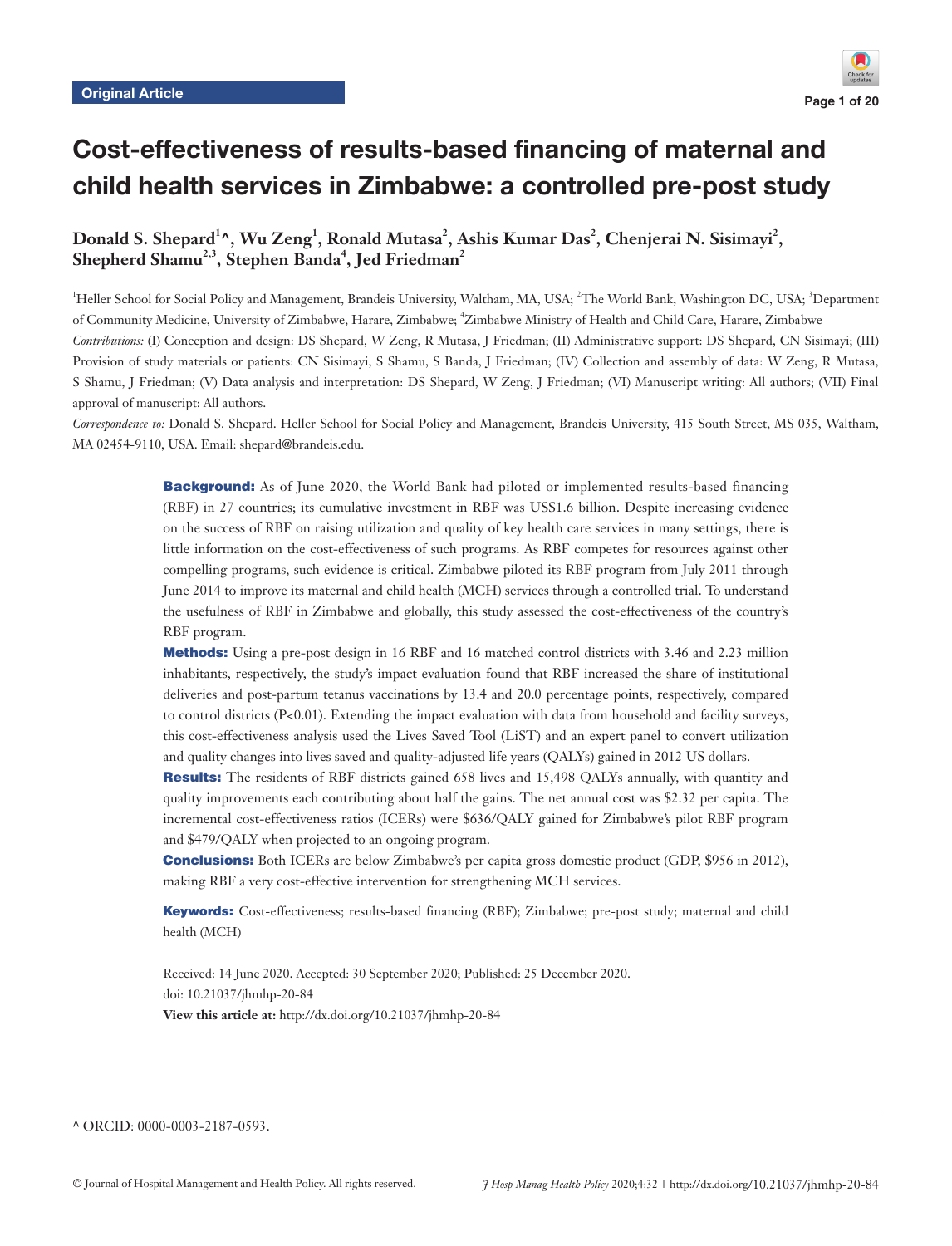# Cost-effectiveness of results-based financing of maternal and child health services in Zimbabwe: a controlled pre-post study

Donald S. Shepard<sup>1</sup>^, Wu Zeng<sup>1</sup>, Ronald Mutasa<sup>2</sup>, Ashis Kumar Das<sup>2</sup>, Chenjerai N. Sisimayi<sup>2</sup>,  $\boldsymbol{\mathrm{Shepherd\ Shamu}^{2,3}},$  Stephen Banda<sup>4</sup>, Jed Friedman<sup>2</sup>

<sup>1</sup>Heller School for Social Policy and Management, Brandeis University, Waltham, MA, USA; <sup>2</sup>The World Bank, Washington DC, USA; <sup>3</sup>Department of Community Medicine, University of Zimbabwe, Harare, Zimbabwe, <sup>4</sup>Zimbabwe Ministry of Health and Child Care, Harare, Zimbabwe *Contributions:* (I) Conception and design: DS Shepard, W Zeng, R Mutasa, J Friedman; (II) Administrative support: DS Shepard, CN Sisimayi; (III) Provision of study materials or patients: CN Sisimayi, S Shamu, S Banda, J Friedman; (IV) Collection and assembly of data: W Zeng, R Mutasa, S Shamu, J Friedman; (V) Data analysis and interpretation: DS Shepard, W Zeng, J Friedman; (VI) Manuscript writing: All authors; (VII) Final approval of manuscript: All authors.

*Correspondence to:* Donald S. Shepard. Heller School for Social Policy and Management, Brandeis University, 415 South Street, MS 035, Waltham, MA 02454-9110, USA. Email: shepard@brandeis.edu.

> **Background:** As of June 2020, the World Bank had piloted or implemented results-based financing (RBF) in 27 countries; its cumulative investment in RBF was US\$1.6 billion. Despite increasing evidence on the success of RBF on raising utilization and quality of key health care services in many settings, there is little information on the cost-effectiveness of such programs. As RBF competes for resources against other compelling programs, such evidence is critical. Zimbabwe piloted its RBF program from July 2011 through June 2014 to improve its maternal and child health (MCH) services through a controlled trial. To understand the usefulness of RBF in Zimbabwe and globally, this study assessed the cost-effectiveness of the country's RBF program.

> Methods: Using a pre-post design in 16 RBF and 16 matched control districts with 3.46 and 2.23 million inhabitants, respectively, the study's impact evaluation found that RBF increased the share of institutional deliveries and post-partum tetanus vaccinations by 13.4 and 20.0 percentage points, respectively, compared to control districts (P<0.01). Extending the impact evaluation with data from household and facility surveys, this cost-effectiveness analysis used the Lives Saved Tool (LiST) and an expert panel to convert utilization and quality changes into lives saved and quality-adjusted life years (QALYs) gained in 2012 US dollars.

> Results: The residents of RBF districts gained 658 lives and 15,498 QALYs annually, with quantity and quality improvements each contributing about half the gains. The net annual cost was \$2.32 per capita. The incremental cost-effectiveness ratios (ICERs) were \$636/QALY gained for Zimbabwe's pilot RBF program and \$479/QALY when projected to an ongoing program.

> **Conclusions:** Both ICERs are below Zimbabwe's per capita gross domestic product (GDP, \$956 in 2012), making RBF a very cost-effective intervention for strengthening MCH services.

> Keywords: Cost-effectiveness; results-based financing (RBF); Zimbabwe; pre-post study; maternal and child health (MCH)

Received: 14 June 2020. Accepted: 30 September 2020; Published: 25 December 2020. doi: 10.21037/jhmhp-20-84 **View this article at:** http://dx.doi.org/10.21037/jhmhp-20-84

^ ORCID: 0000-0003-2187-0593.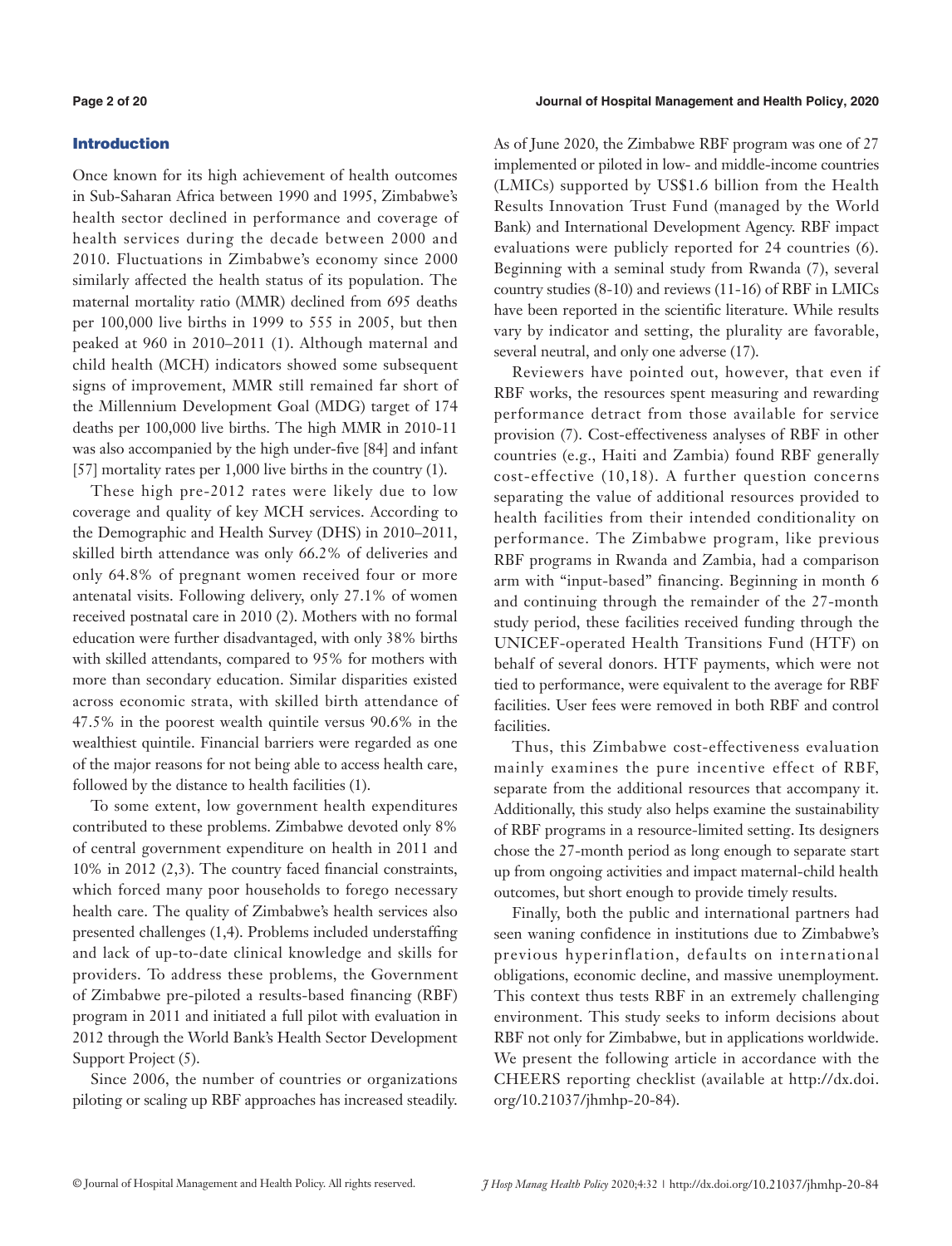#### **Page 2 of 20 Journal of Hospital Management and Health Policy, 2020**

# Introduction

Once known for its high achievement of health outcomes in Sub-Saharan Africa between 1990 and 1995, Zimbabwe's health sector declined in performance and coverage of health services during the decade between 2000 and 2010. Fluctuations in Zimbabwe's economy since 2000 similarly affected the health status of its population. The maternal mortality ratio (MMR) declined from 695 deaths per 100,000 live births in 1999 to 555 in 2005, but then peaked at 960 in 2010–2011 (1). Although maternal and child health (MCH) indicators showed some subsequent signs of improvement, MMR still remained far short of the Millennium Development Goal (MDG) target of 174 deaths per 100,000 live births. The high MMR in 2010-11 was also accompanied by the high under-five [84] and infant [57] mortality rates per 1,000 live births in the country  $(1)$ .

These high pre-2012 rates were likely due to low coverage and quality of key MCH services. According to the Demographic and Health Survey (DHS) in 2010–2011, skilled birth attendance was only 66.2% of deliveries and only 64.8% of pregnant women received four or more antenatal visits. Following delivery, only 27.1% of women received postnatal care in 2010 (2). Mothers with no formal education were further disadvantaged, with only 38% births with skilled attendants, compared to 95% for mothers with more than secondary education. Similar disparities existed across economic strata, with skilled birth attendance of 47.5% in the poorest wealth quintile versus 90.6% in the wealthiest quintile. Financial barriers were regarded as one of the major reasons for not being able to access health care, followed by the distance to health facilities (1).

To some extent, low government health expenditures contributed to these problems. Zimbabwe devoted only 8% of central government expenditure on health in 2011 and 10% in 2012 (2,3). The country faced financial constraints, which forced many poor households to forego necessary health care. The quality of Zimbabwe's health services also presented challenges (1,4). Problems included understaffing and lack of up-to-date clinical knowledge and skills for providers. To address these problems, the Government of Zimbabwe pre-piloted a results-based financing (RBF) program in 2011 and initiated a full pilot with evaluation in 2012 through the World Bank's Health Sector Development Support Project (5).

Since 2006, the number of countries or organizations piloting or scaling up RBF approaches has increased steadily. As of June 2020, the Zimbabwe RBF program was one of 27 implemented or piloted in low- and middle-income countries (LMICs) supported by US\$1.6 billion from the Health Results Innovation Trust Fund (managed by the World Bank) and International Development Agency. RBF impact evaluations were publicly reported for 24 countries (6). Beginning with a seminal study from Rwanda (7), several country studies (8-10) and reviews (11-16) of RBF in LMICs have been reported in the scientific literature. While results vary by indicator and setting, the plurality are favorable, several neutral, and only one adverse (17).

Reviewers have pointed out, however, that even if RBF works, the resources spent measuring and rewarding performance detract from those available for service provision (7). Cost-effectiveness analyses of RBF in other countries (e.g., Haiti and Zambia) found RBF generally cost-effective (10,18). A further question concerns separating the value of additional resources provided to health facilities from their intended conditionality on performance. The Zimbabwe program, like previous RBF programs in Rwanda and Zambia, had a comparison arm with "input-based" financing. Beginning in month 6 and continuing through the remainder of the 27-month study period, these facilities received funding through the UNICEF-operated Health Transitions Fund (HTF) on behalf of several donors. HTF payments, which were not tied to performance, were equivalent to the average for RBF facilities. User fees were removed in both RBF and control facilities.

Thus, this Zimbabwe cost-effectiveness evaluation mainly examines the pure incentive effect of RBF, separate from the additional resources that accompany it. Additionally, this study also helps examine the sustainability of RBF programs in a resource-limited setting. Its designers chose the 27-month period as long enough to separate start up from ongoing activities and impact maternal-child health outcomes, but short enough to provide timely results.

Finally, both the public and international partners had seen waning confidence in institutions due to Zimbabwe's previous hyperinflation, defaults on international obligations, economic decline, and massive unemployment. This context thus tests RBF in an extremely challenging environment. This study seeks to inform decisions about RBF not only for Zimbabwe, but in applications worldwide. We present the following article in accordance with the CHEERS reporting checklist (available at [http://dx.doi.](http://dx.doi.org/10.21037/jhmhp-20-84) [org/10.21037/jhmhp-20-84\)](http://dx.doi.org/10.21037/jhmhp-20-84).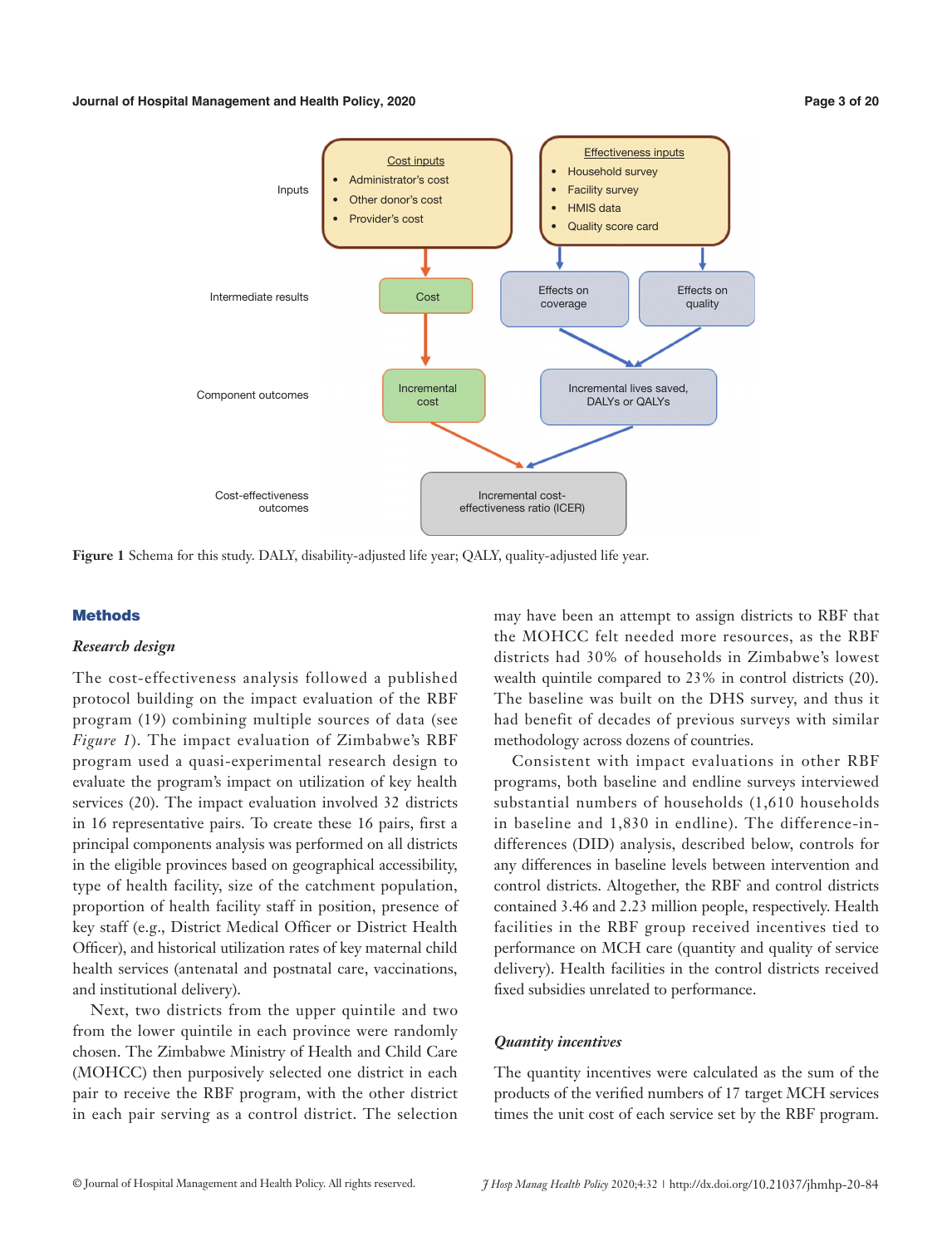#### **Journal of Hospital Management and Health Policy, 2020 Page 3 of 20**



**Figure 1** Schema for this study. DALY, disability-adjusted life year; QALY, quality-adjusted life year.

### **Methods**

### *Research design*

The cost-effectiveness analysis followed a published protocol building on the impact evaluation of the RBF program (19) combining multiple sources of data (see *Figure 1*). The impact evaluation of Zimbabwe's RBF program used a quasi-experimental research design to evaluate the program's impact on utilization of key health services (20). The impact evaluation involved 32 districts in 16 representative pairs. To create these 16 pairs, first a principal components analysis was performed on all districts in the eligible provinces based on geographical accessibility, type of health facility, size of the catchment population, proportion of health facility staff in position, presence of key staff (e.g., District Medical Officer or District Health Officer), and historical utilization rates of key maternal child health services (antenatal and postnatal care, vaccinations, and institutional delivery).

Next, two districts from the upper quintile and two from the lower quintile in each province were randomly chosen. The Zimbabwe Ministry of Health and Child Care (MOHCC) then purposively selected one district in each pair to receive the RBF program, with the other district in each pair serving as a control district. The selection

may have been an attempt to assign districts to RBF that the MOHCC felt needed more resources, as the RBF districts had 30% of households in Zimbabwe's lowest wealth quintile compared to 23% in control districts (20). The baseline was built on the DHS survey, and thus it had benefit of decades of previous surveys with similar methodology across dozens of countries.

Consistent with impact evaluations in other RBF programs, both baseline and endline surveys interviewed substantial numbers of households (1,610 households in baseline and 1,830 in endline). The difference-indifferences (DID) analysis, described below, controls for any differences in baseline levels between intervention and control districts. Altogether, the RBF and control districts contained 3.46 and 2.23 million people, respectively. Health facilities in the RBF group received incentives tied to performance on MCH care (quantity and quality of service delivery). Health facilities in the control districts received fixed subsidies unrelated to performance.

#### *Quantity incentives*

The quantity incentives were calculated as the sum of the products of the verified numbers of 17 target MCH services times the unit cost of each service set by the RBF program.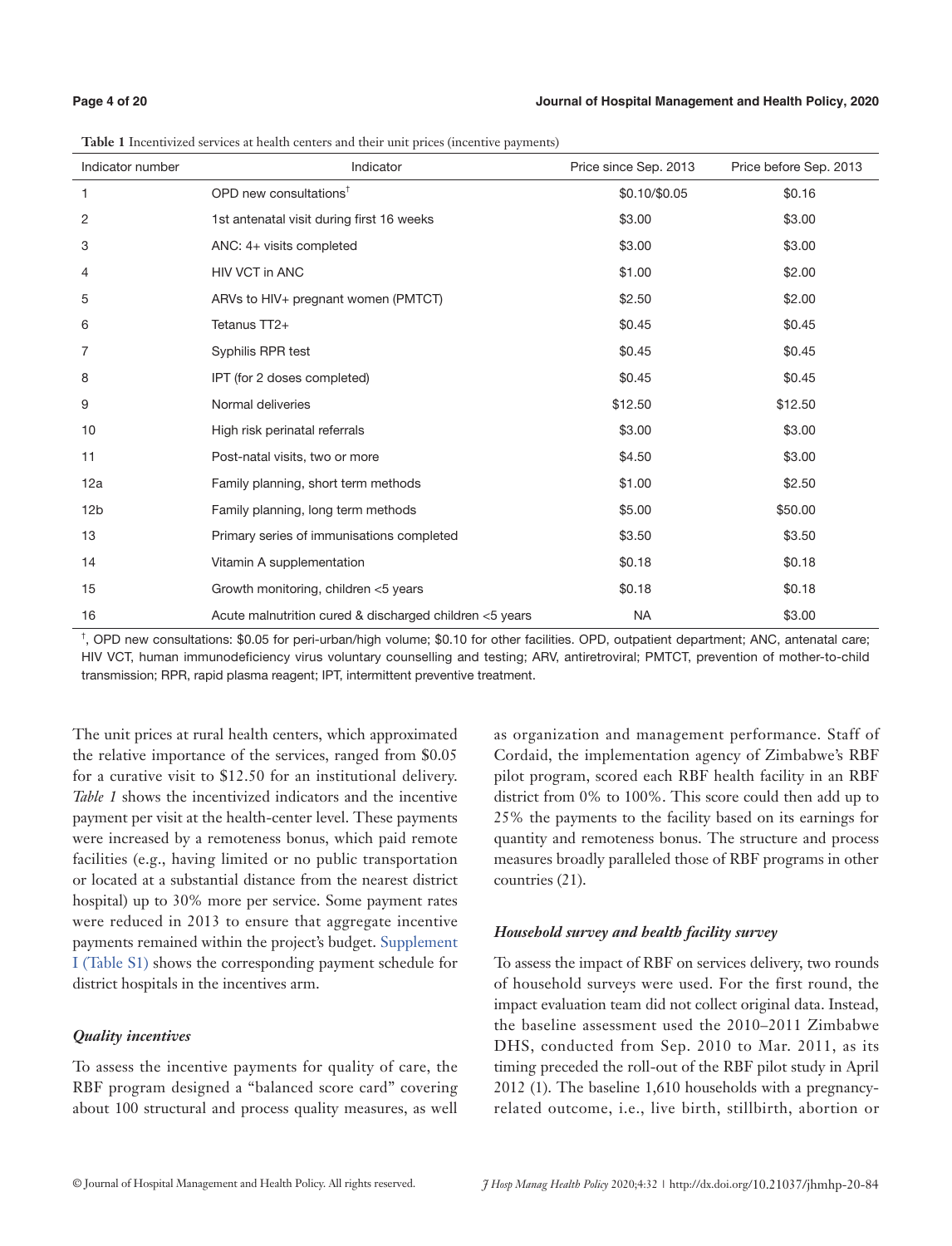**Table 1** Incentivized services at health centers and their unit prices (incentive payments)

| Indicator number | Indicator                                               | Price since Sep. 2013 | Price before Sep. 2013 |
|------------------|---------------------------------------------------------|-----------------------|------------------------|
| $\mathbf{1}$     | OPD new consultations <sup><math>†</math></sup>         | \$0.10/\$0.05         | \$0.16                 |
| 2                | 1st antenatal visit during first 16 weeks               | \$3.00                | \$3.00                 |
| 3                | ANC: 4+ visits completed                                | \$3.00                | \$3.00                 |
| 4                | <b>HIV VCT in ANC</b>                                   | \$1.00                | \$2.00                 |
| 5                | ARVs to HIV+ pregnant women (PMTCT)                     | \$2.50                | \$2.00                 |
| 6                | Tetanus TT2+                                            | \$0.45                | \$0.45                 |
| 7                | Syphilis RPR test                                       | \$0.45                | \$0.45                 |
| 8                | IPT (for 2 doses completed)                             | \$0.45                | \$0.45                 |
| 9                | Normal deliveries                                       | \$12.50               | \$12.50                |
| 10               | High risk perinatal referrals                           | \$3.00                | \$3.00                 |
| 11               | Post-natal visits, two or more                          | \$4.50                | \$3.00                 |
| 12a              | Family planning, short term methods                     | \$1.00                | \$2.50                 |
| 12 <sub>b</sub>  | Family planning, long term methods                      | \$5.00                | \$50.00                |
| 13               | Primary series of immunisations completed               | \$3.50                | \$3.50                 |
| 14               | Vitamin A supplementation                               | \$0.18                | \$0.18                 |
| 15               | Growth monitoring, children <5 years                    | \$0.18                | \$0.18                 |
| 16               | Acute malnutrition cured & discharged children <5 years | <b>NA</b>             | \$3.00                 |

† , OPD new consultations: \$0.05 for peri-urban/high volume; \$0.10 for other facilities. OPD, outpatient department; ANC, antenatal care; HIV VCT, human immunodeficiency virus voluntary counselling and testing; ARV, antiretroviral; PMTCT, prevention of mother-to-child transmission; RPR, rapid plasma reagent; IPT, intermittent preventive treatment.

The unit prices at rural health centers, which approximated the relative importance of the services, ranged from \$0.05 for a curative visit to \$12.50 for an institutional delivery. *Table 1* shows the incentivized indicators and the incentive payment per visit at the health-center level. These payments were increased by a remoteness bonus, which paid remote facilities (e.g., having limited or no public transportation or located at a substantial distance from the nearest district hospital) up to 30% more per service. Some payment rates were reduced in 2013 to ensure that aggregate incentive payments remained within the project's budget. [Supplement](https://cdn.amegroups.cn/static/public/JHMHP-2020-IHSE-06-Supplementary.pdf) [I \(Table S1\)](https://cdn.amegroups.cn/static/public/JHMHP-2020-IHSE-06-Supplementary.pdf) shows the corresponding payment schedule for district hospitals in the incentives arm.

# *Quality incentives*

To assess the incentive payments for quality of care, the RBF program designed a "balanced score card" covering about 100 structural and process quality measures, as well

as organization and management performance. Staff of Cordaid, the implementation agency of Zimbabwe's RBF pilot program, scored each RBF health facility in an RBF district from 0% to 100%. This score could then add up to 25% the payments to the facility based on its earnings for quantity and remoteness bonus. The structure and process measures broadly paralleled those of RBF programs in other countries (21).

# *Household survey and health facility survey*

To assess the impact of RBF on services delivery, two rounds of household surveys were used. For the first round, the impact evaluation team did not collect original data. Instead, the baseline assessment used the 2010–2011 Zimbabwe DHS, conducted from Sep. 2010 to Mar. 2011, as its timing preceded the roll-out of the RBF pilot study in April 2012 (1). The baseline 1,610 households with a pregnancyrelated outcome, i.e., live birth, stillbirth, abortion or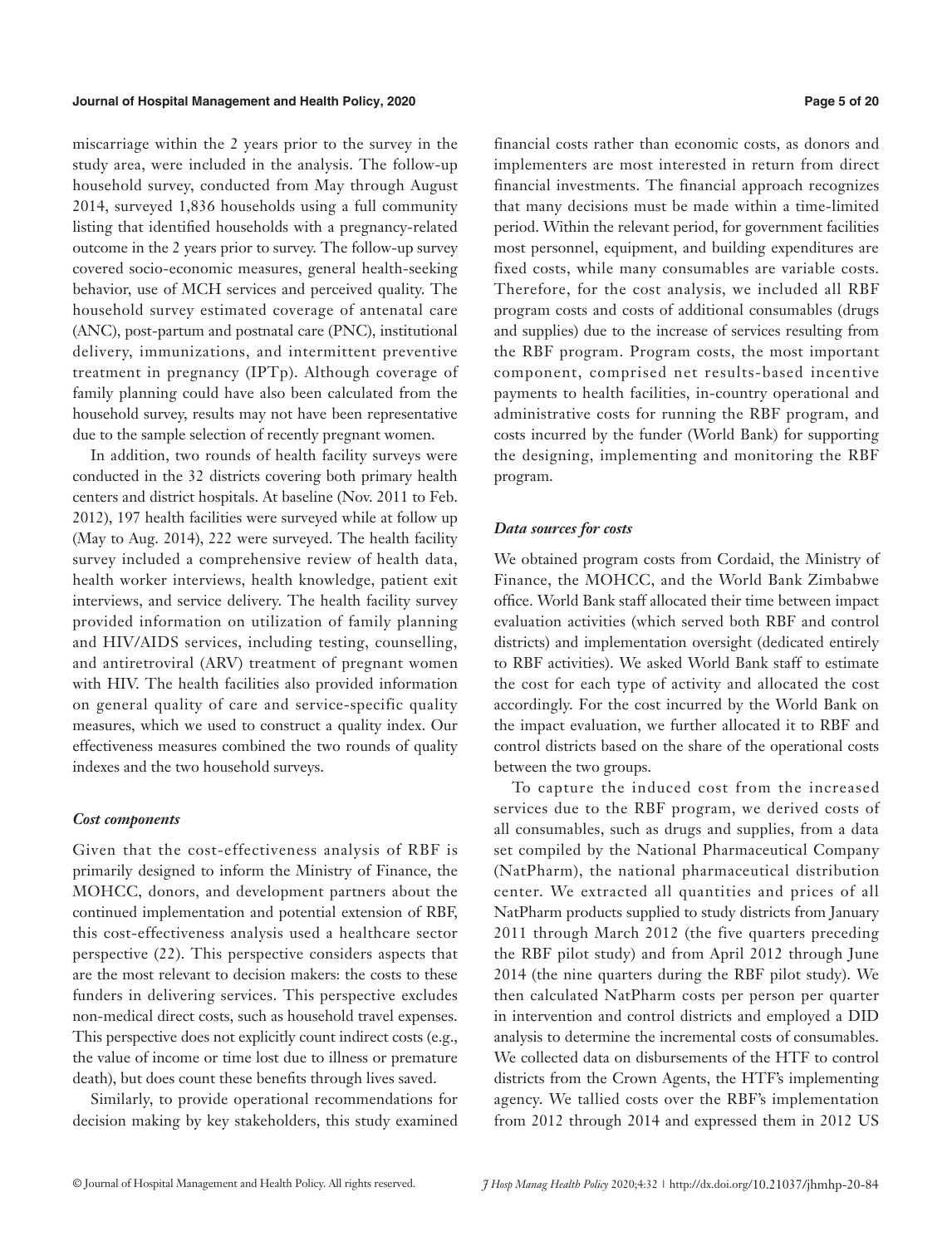miscarriage within the 2 years prior to the survey in the study area, were included in the analysis. The follow-up household survey, conducted from May through August 2014, surveyed 1,836 households using a full community listing that identified households with a pregnancy-related outcome in the 2 years prior to survey. The follow-up survey covered socio-economic measures, general health-seeking behavior, use of MCH services and perceived quality. The household survey estimated coverage of antenatal care (ANC), post-partum and postnatal care (PNC), institutional delivery, immunizations, and intermittent preventive treatment in pregnancy (IPTp). Although coverage of family planning could have also been calculated from the household survey, results may not have been representative due to the sample selection of recently pregnant women.

In addition, two rounds of health facility surveys were conducted in the 32 districts covering both primary health centers and district hospitals. At baseline (Nov. 2011 to Feb. 2012), 197 health facilities were surveyed while at follow up (May to Aug. 2014), 222 were surveyed. The health facility survey included a comprehensive review of health data, health worker interviews, health knowledge, patient exit interviews, and service delivery. The health facility survey provided information on utilization of family planning and HIV/AIDS services, including testing, counselling, and antiretroviral (ARV) treatment of pregnant women with HIV. The health facilities also provided information on general quality of care and service-specific quality measures, which we used to construct a quality index. Our effectiveness measures combined the two rounds of quality indexes and the two household surveys.

#### *Cost components*

Given that the cost-effectiveness analysis of RBF is primarily designed to inform the Ministry of Finance, the MOHCC, donors, and development partners about the continued implementation and potential extension of RBF, this cost-effectiveness analysis used a healthcare sector perspective (22). This perspective considers aspects that are the most relevant to decision makers: the costs to these funders in delivering services. This perspective excludes non-medical direct costs, such as household travel expenses. This perspective does not explicitly count indirect costs (e.g., the value of income or time lost due to illness or premature death), but does count these benefits through lives saved.

Similarly, to provide operational recommendations for decision making by key stakeholders, this study examined

financial costs rather than economic costs, as donors and implementers are most interested in return from direct financial investments. The financial approach recognizes that many decisions must be made within a time-limited period. Within the relevant period, for government facilities most personnel, equipment, and building expenditures are fixed costs, while many consumables are variable costs. Therefore, for the cost analysis, we included all RBF program costs and costs of additional consumables (drugs and supplies) due to the increase of services resulting from the RBF program. Program costs, the most important component, comprised net results-based incentive payments to health facilities, in-country operational and administrative costs for running the RBF program, and costs incurred by the funder (World Bank) for supporting the designing, implementing and monitoring the RBF program.

### *Data sources for costs*

We obtained program costs from Cordaid, the Ministry of Finance, the MOHCC, and the World Bank Zimbabwe office. World Bank staff allocated their time between impact evaluation activities (which served both RBF and control districts) and implementation oversight (dedicated entirely to RBF activities). We asked World Bank staff to estimate the cost for each type of activity and allocated the cost accordingly. For the cost incurred by the World Bank on the impact evaluation, we further allocated it to RBF and control districts based on the share of the operational costs between the two groups.

To capture the induced cost from the increased services due to the RBF program, we derived costs of all consumables, such as drugs and supplies, from a data set compiled by the National Pharmaceutical Company (NatPharm), the national pharmaceutical distribution center. We extracted all quantities and prices of all NatPharm products supplied to study districts from January 2011 through March 2012 (the five quarters preceding the RBF pilot study) and from April 2012 through June 2014 (the nine quarters during the RBF pilot study). We then calculated NatPharm costs per person per quarter in intervention and control districts and employed a DID analysis to determine the incremental costs of consumables. We collected data on disbursements of the HTF to control districts from the Crown Agents, the HTF's implementing agency. We tallied costs over the RBF's implementation from 2012 through 2014 and expressed them in 2012 US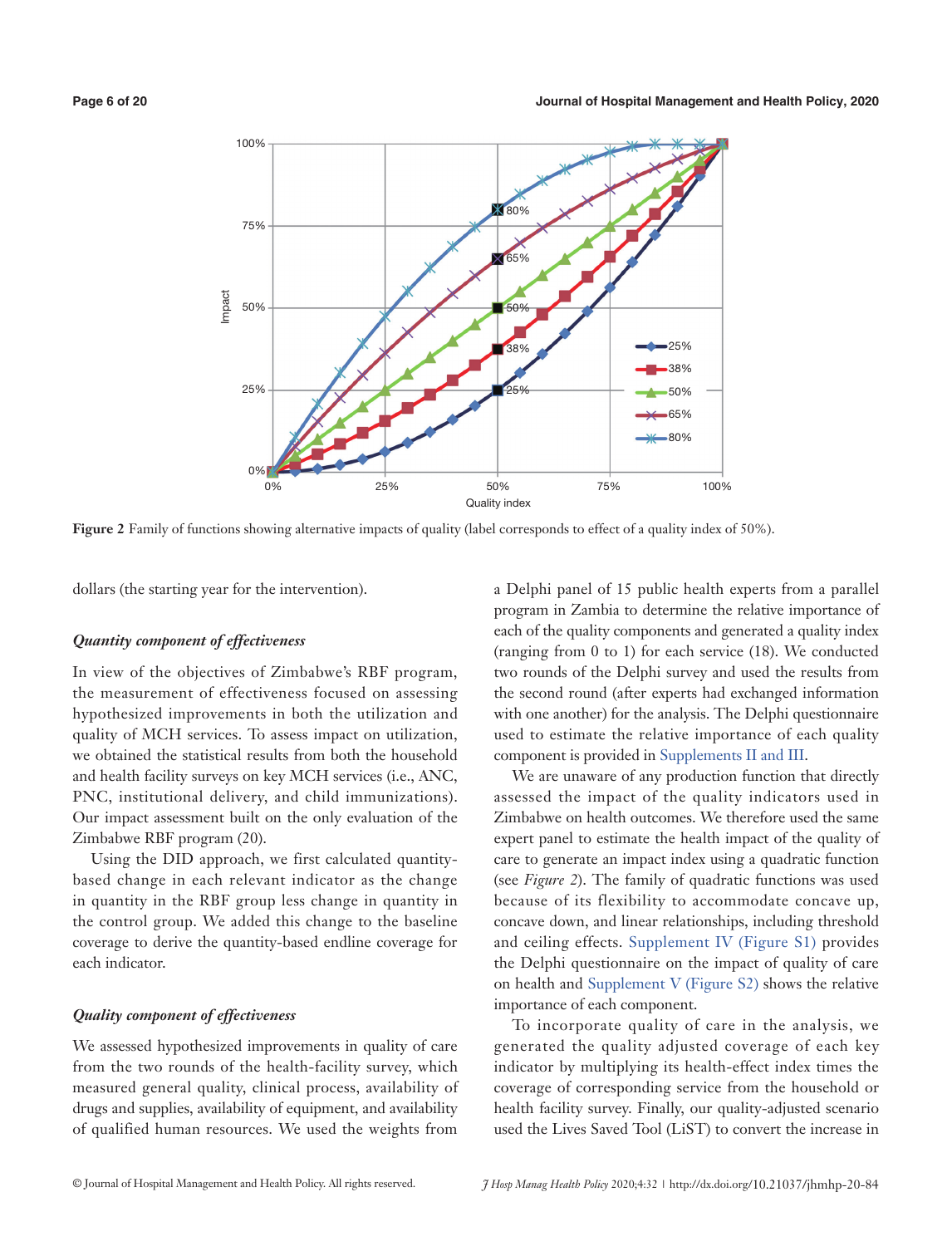

**Figure 2** Family of functions showing alternative impacts of quality (label corresponds to effect of a quality index of 50%).

dollars (the starting year for the intervention).

#### *Quantity component of effectiveness*

In view of the objectives of Zimbabwe's RBF program, the measurement of effectiveness focused on assessing hypothesized improvements in both the utilization and quality of MCH services. To assess impact on utilization, we obtained the statistical results from both the household and health facility surveys on key MCH services (i.e., ANC, PNC, institutional delivery, and child immunizations). Our impact assessment built on the only evaluation of the Zimbabwe RBF program (20).

Using the DID approach, we first calculated quantitybased change in each relevant indicator as the change in quantity in the RBF group less change in quantity in the control group. We added this change to the baseline coverage to derive the quantity-based endline coverage for each indicator.

### *Quality component of effectiveness*

We assessed hypothesized improvements in quality of care from the two rounds of the health-facility survey, which measured general quality, clinical process, availability of drugs and supplies, availability of equipment, and availability of qualified human resources. We used the weights from

a Delphi panel of 15 public health experts from a parallel program in Zambia to determine the relative importance of each of the quality components and generated a quality index (ranging from 0 to 1) for each service (18). We conducted two rounds of the Delphi survey and used the results from the second round (after experts had exchanged information with one another) for the analysis. The Delphi questionnaire used to estimate the relative importance of each quality component is provided in [Supplements II and III](https://cdn.amegroups.cn/static/public/JHMHP-2020-IHSE-06-Supplementary.pdf).

We are unaware of any production function that directly assessed the impact of the quality indicators used in Zimbabwe on health outcomes. We therefore used the same expert panel to estimate the health impact of the quality of care to generate an impact index using a quadratic function (see *Figure 2*). The family of quadratic functions was used because of its flexibility to accommodate concave up, concave down, and linear relationships, including threshold and ceiling effects. [Supplement IV \(Figure S1\)](https://cdn.amegroups.cn/static/public/JHMHP-2020-IHSE-06-Supplementary.pdf) provides the Delphi questionnaire on the impact of quality of care on health and [Supplement V \(Figure S2\)](https://cdn.amegroups.cn/static/public/JHMHP-2020-IHSE-06-Supplementary.pdf) shows the relative importance of each component.

To incorporate quality of care in the analysis, we generated the quality adjusted coverage of each key indicator by multiplying its health-effect index times the coverage of corresponding service from the household or health facility survey. Finally, our quality-adjusted scenario used the Lives Saved Tool (LiST) to convert the increase in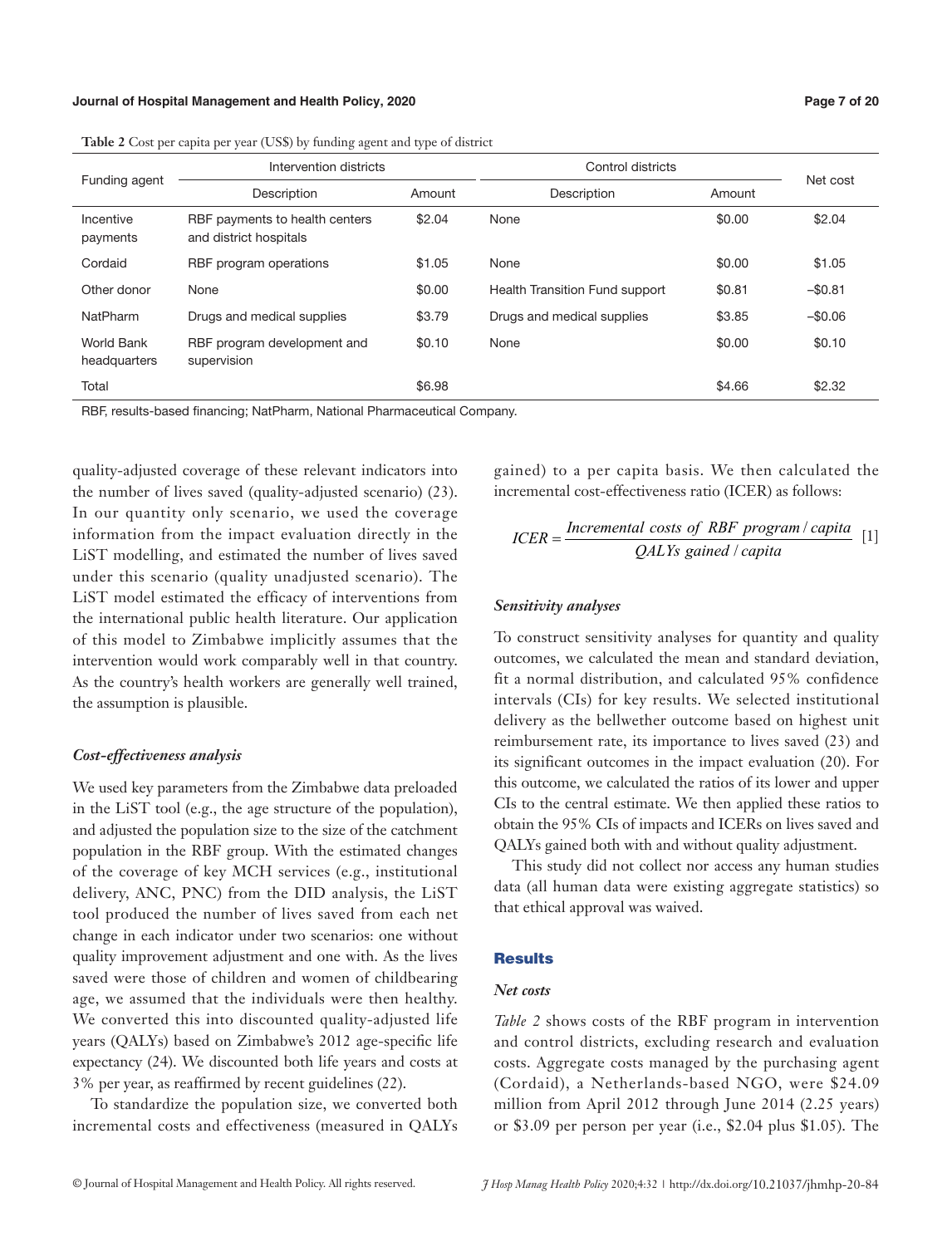#### **Journal of Hospital Management and Health Policy, 2020 Page 7 of 20**

| Funding agent              | Intervention districts                                   |        | Control districts              | Net cost |          |
|----------------------------|----------------------------------------------------------|--------|--------------------------------|----------|----------|
|                            | Description                                              | Amount | Description                    | Amount   |          |
| Incentive<br>payments      | RBF payments to health centers<br>and district hospitals | \$2.04 | None                           | \$0.00   | \$2.04   |
| Cordaid                    | RBF program operations                                   | \$1.05 | None                           | \$0.00   | \$1.05   |
| Other donor                | None                                                     | \$0.00 | Health Transition Fund support | \$0.81   | $-$0.81$ |
| NatPharm                   | Drugs and medical supplies                               | \$3.79 | Drugs and medical supplies     | \$3.85   | $-$0.06$ |
| World Bank<br>headquarters | RBF program development and<br>supervision               | \$0.10 | None                           | \$0.00   | \$0.10   |
| Total                      |                                                          | \$6.98 |                                | \$4.66   | \$2.32   |

**Table 2** Cost per capita per year (US\$) by funding agent and type of district

RBF, results-based financing; NatPharm, National Pharmaceutical Company.

quality-adjusted coverage of these relevant indicators into the number of lives saved (quality-adjusted scenario) (23). In our quantity only scenario, we used the coverage information from the impact evaluation directly in the LiST modelling, and estimated the number of lives saved under this scenario (quality unadjusted scenario). The LiST model estimated the efficacy of interventions from the international public health literature. Our application of this model to Zimbabwe implicitly assumes that the intervention would work comparably well in that country. As the country's health workers are generally well trained, the assumption is plausible.

### *Cost-effectiveness analysis*

We used key parameters from the Zimbabwe data preloaded in the LiST tool (e.g., the age structure of the population), and adjusted the population size to the size of the catchment population in the RBF group. With the estimated changes of the coverage of key MCH services (e.g., institutional delivery, ANC, PNC) from the DID analysis, the LiST tool produced the number of lives saved from each net change in each indicator under two scenarios: one without quality improvement adjustment and one with. As the lives saved were those of children and women of childbearing age, we assumed that the individuals were then healthy. We converted this into discounted quality-adjusted life years (QALYs) based on Zimbabwe's 2012 age-specific life expectancy (24). We discounted both life years and costs at 3% per year, as reaffirmed by recent guidelines (22).

To standardize the population size, we converted both incremental costs and effectiveness (measured in QALYs gained) to a per capita basis. We then calculated the incremental cost-effectiveness ratio (ICER) as follows:

$$
ICER = \frac{Incremental \ costs \ of \ RBF \ program / \ capital}{QALYs \ gained / \ capital}
$$
 [1]

#### *Sensitivity analyses*

To construct sensitivity analyses for quantity and quality outcomes, we calculated the mean and standard deviation, fit a normal distribution, and calculated 95% confidence intervals (CIs) for key results. We selected institutional delivery as the bellwether outcome based on highest unit reimbursement rate, its importance to lives saved (23) and its significant outcomes in the impact evaluation (20). For this outcome, we calculated the ratios of its lower and upper CIs to the central estimate. We then applied these ratios to obtain the 95% CIs of impacts and ICERs on lives saved and QALYs gained both with and without quality adjustment.

This study did not collect nor access any human studies data (all human data were existing aggregate statistics) so that ethical approval was waived.

# **Results**

# *Net costs*

*Table 2* shows costs of the RBF program in intervention and control districts, excluding research and evaluation costs. Aggregate costs managed by the purchasing agent (Cordaid), a Netherlands-based NGO, were \$24.09 million from April 2012 through June 2014 (2.25 years) or \$3.09 per person per year (i.e., \$2.04 plus \$1.05). The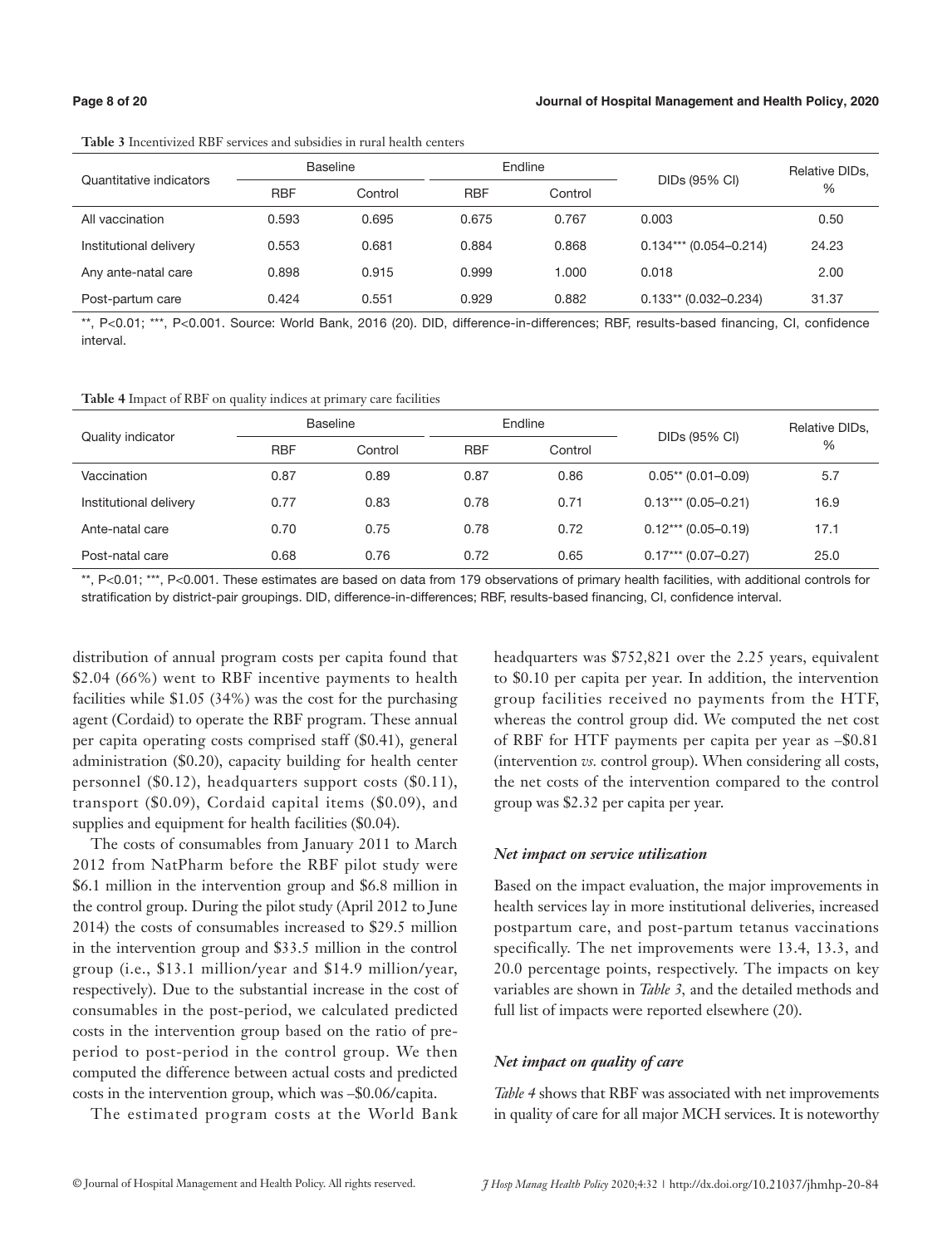#### **Page 8 of 20 Journal of Hospital Management and Health Policy, 2020**

|                         |            | <b>Baseline</b> |            | Endline |                          | Relative DIDs, |  |
|-------------------------|------------|-----------------|------------|---------|--------------------------|----------------|--|
| Quantitative indicators | <b>RBF</b> | Control         | <b>RBF</b> | Control | DIDs (95% CI)            | $\%$           |  |
| All vaccination         | 0.593      | 0.695           | 0.675      | 0.767   | 0.003                    | 0.50           |  |
| Institutional delivery  | 0.553      | 0.681           | 0.884      | 0.868   | $0.134***$ (0.054-0.214) | 24.23          |  |
| Any ante-natal care     | 0.898      | 0.915           | 0.999      | 1.000   | 0.018                    | 2.00           |  |
| Post-partum care        | 0.424      | 0.551           | 0.929      | 0.882   | $0.133**$ (0.032-0.234)  | 31.37          |  |

**Table 3** Incentivized RBF services and subsidies in rural health centers

\*\*, P<0.01; \*\*\*, P<0.001. Source: World Bank, 2016 (20). DID, difference-in-differences; RBF, results-based financing, CI, confidence interval.

**Table 4** Impact of RBF on quality indices at primary care facilities

| Quality indicator      |            | <b>Baseline</b> |            | Endline | DIDs (95% CI)         | Relative DIDs, |  |
|------------------------|------------|-----------------|------------|---------|-----------------------|----------------|--|
|                        | <b>RBF</b> | Control         | <b>RBF</b> | Control |                       | %              |  |
| Vaccination            | 0.87       | 0.89            | 0.87       | 0.86    | $0.05**$ (0.01-0.09)  | 5.7            |  |
| Institutional delivery | 0.77       | 0.83            | 0.78       | 0.71    | $0.13***$ (0.05-0.21) | 16.9           |  |
| Ante-natal care        | 0.70       | 0.75            | 0.78       | 0.72    | $0.12***(0.05-0.19)$  | 17.1           |  |
| Post-natal care        | 0.68       | 0.76            | 0.72       | 0.65    | $0.17***$ (0.07-0.27) | 25.0           |  |

\*\*, P<0.01; \*\*\*, P<0.001. These estimates are based on data from 179 observations of primary health facilities, with additional controls for stratification by district-pair groupings. DID, difference-in-differences; RBF, results-based financing, CI, confidence interval.

distribution of annual program costs per capita found that \$2.04 (66%) went to RBF incentive payments to health facilities while \$1.05 (34%) was the cost for the purchasing agent (Cordaid) to operate the RBF program. These annual per capita operating costs comprised staff (\$0.41), general administration (\$0.20), capacity building for health center personnel (\$0.12), headquarters support costs (\$0.11), transport (\$0.09), Cordaid capital items (\$0.09), and supplies and equipment for health facilities (\$0.04).

The costs of consumables from January 2011 to March 2012 from NatPharm before the RBF pilot study were \$6.1 million in the intervention group and \$6.8 million in the control group. During the pilot study (April 2012 to June 2014) the costs of consumables increased to \$29.5 million in the intervention group and \$33.5 million in the control group (i.e., \$13.1 million/year and \$14.9 million/year, respectively). Due to the substantial increase in the cost of consumables in the post-period, we calculated predicted costs in the intervention group based on the ratio of preperiod to post-period in the control group. We then computed the difference between actual costs and predicted costs in the intervention group, which was –\$0.06/capita.

The estimated program costs at the World Bank

headquarters was \$752,821 over the 2.25 years, equivalent to \$0.10 per capita per year. In addition, the intervention group facilities received no payments from the HTF, whereas the control group did. We computed the net cost of RBF for HTF payments per capita per year as –\$0.81 (intervention *vs.* control group). When considering all costs, the net costs of the intervention compared to the control group was \$2.32 per capita per year.

#### *Net impact on service utilization*

Based on the impact evaluation, the major improvements in health services lay in more institutional deliveries, increased postpartum care, and post-partum tetanus vaccinations specifically. The net improvements were 13.4, 13.3, and 20.0 percentage points, respectively. The impacts on key variables are shown in *Table 3,* and the detailed methods and full list of impacts were reported elsewhere (20).

#### *Net impact on quality of care*

*Table 4* shows that RBF was associated with net improvements in quality of care for all major MCH services. It is noteworthy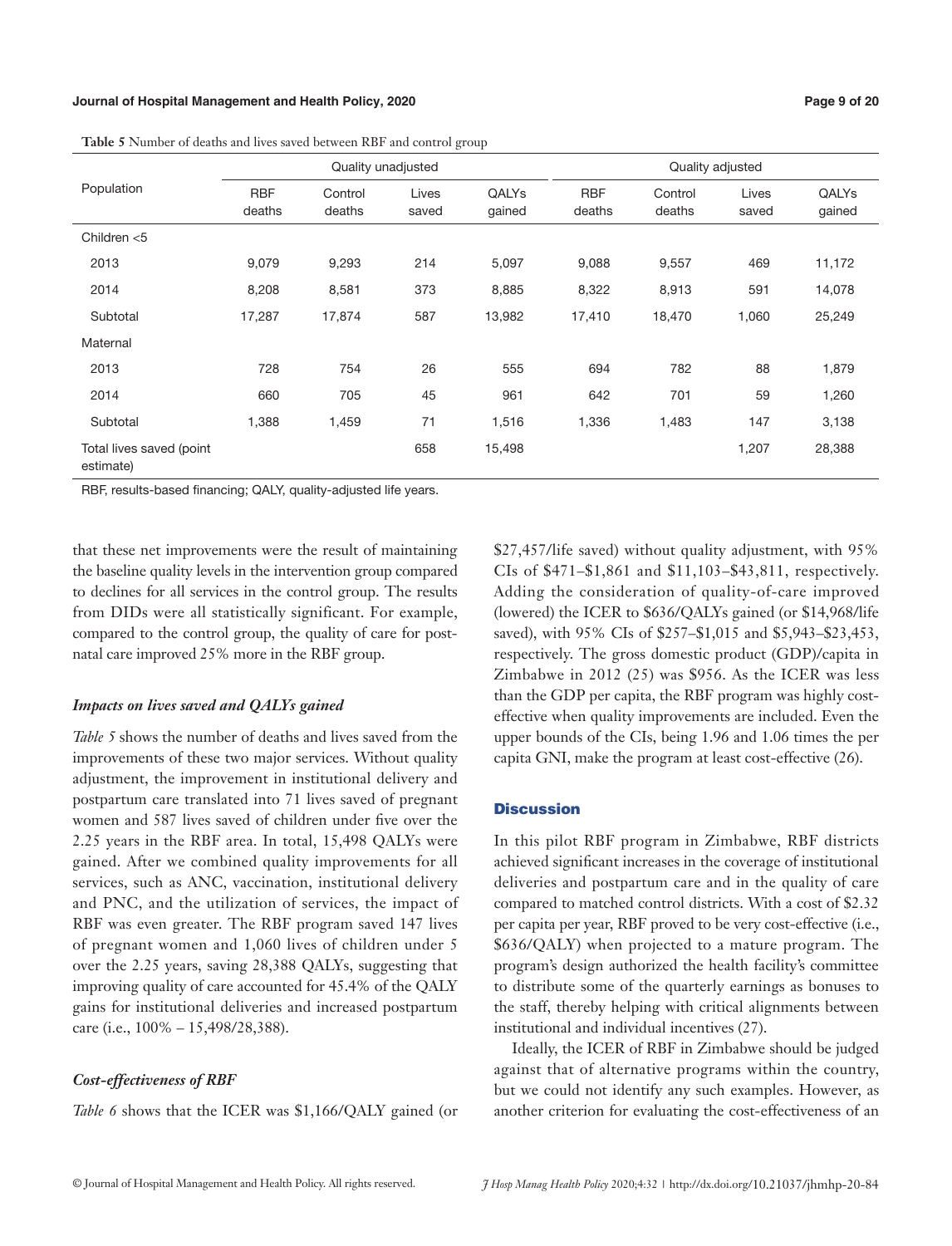#### **Journal of Hospital Management and Health Policy, 2020 Page 9 of 20**

|                                       |                      |                   | $\tilde{}$     | $\mathbf{r}$     |                      |                   |                |                 |
|---------------------------------------|----------------------|-------------------|----------------|------------------|----------------------|-------------------|----------------|-----------------|
|                                       | Quality unadjusted   |                   |                | Quality adjusted |                      |                   |                |                 |
| Population                            | <b>RBF</b><br>deaths | Control<br>deaths | Lives<br>saved | QALYs<br>gained  | <b>RBF</b><br>deaths | Control<br>deaths | Lives<br>saved | QALYs<br>gained |
| Children $<$ 5                        |                      |                   |                |                  |                      |                   |                |                 |
| 2013                                  | 9,079                | 9,293             | 214            | 5,097            | 9,088                | 9,557             | 469            | 11,172          |
| 2014                                  | 8,208                | 8,581             | 373            | 8,885            | 8,322                | 8,913             | 591            | 14,078          |
| Subtotal                              | 17,287               | 17,874            | 587            | 13,982           | 17,410               | 18,470            | 1,060          | 25,249          |
| Maternal                              |                      |                   |                |                  |                      |                   |                |                 |
| 2013                                  | 728                  | 754               | 26             | 555              | 694                  | 782               | 88             | 1,879           |
| 2014                                  | 660                  | 705               | 45             | 961              | 642                  | 701               | 59             | 1,260           |
| Subtotal                              | 1,388                | 1,459             | 71             | 1,516            | 1,336                | 1,483             | 147            | 3,138           |
| Total lives saved (point<br>estimate) |                      |                   | 658            | 15,498           |                      |                   | 1,207          | 28,388          |

**Table 5** Number of deaths and lives saved between RBF and control group

RBF, results-based financing; QALY, quality-adjusted life years.

that these net improvements were the result of maintaining the baseline quality levels in the intervention group compared to declines for all services in the control group. The results from DIDs were all statistically significant. For example, compared to the control group, the quality of care for postnatal care improved 25% more in the RBF group.

#### *Impacts on lives saved and QALYs gained*

*Table 5* shows the number of deaths and lives saved from the improvements of these two major services. Without quality adjustment, the improvement in institutional delivery and postpartum care translated into 71 lives saved of pregnant women and 587 lives saved of children under five over the 2.25 years in the RBF area. In total, 15,498 QALYs were gained. After we combined quality improvements for all services, such as ANC, vaccination, institutional delivery and PNC, and the utilization of services, the impact of RBF was even greater. The RBF program saved 147 lives of pregnant women and 1,060 lives of children under 5 over the 2.25 years, saving 28,388 QALYs, suggesting that improving quality of care accounted for 45.4% of the QALY gains for institutional deliveries and increased postpartum care (i.e., 100% – 15,498/28,388).

#### *Cost-effectiveness of RBF*

*Table 6* shows that the ICER was \$1,166/QALY gained (or

\$27,457/life saved) without quality adjustment, with 95% CIs of \$471–\$1,861 and \$11,103–\$43,811, respectively. Adding the consideration of quality-of-care improved (lowered) the ICER to \$636/QALYs gained (or \$14,968/life saved), with 95% CIs of \$257–\$1,015 and \$5,943–\$23,453, respectively. The gross domestic product (GDP)/capita in Zimbabwe in 2012 (25) was \$956. As the ICER was less than the GDP per capita, the RBF program was highly costeffective when quality improvements are included. Even the upper bounds of the CIs, being 1.96 and 1.06 times the per capita GNI, make the program at least cost-effective (26).

#### **Discussion**

In this pilot RBF program in Zimbabwe, RBF districts achieved significant increases in the coverage of institutional deliveries and postpartum care and in the quality of care compared to matched control districts. With a cost of \$2.32 per capita per year, RBF proved to be very cost-effective (i.e., \$636/QALY) when projected to a mature program. The program's design authorized the health facility's committee to distribute some of the quarterly earnings as bonuses to the staff, thereby helping with critical alignments between institutional and individual incentives (27).

Ideally, the ICER of RBF in Zimbabwe should be judged against that of alternative programs within the country, but we could not identify any such examples. However, as another criterion for evaluating the cost-effectiveness of an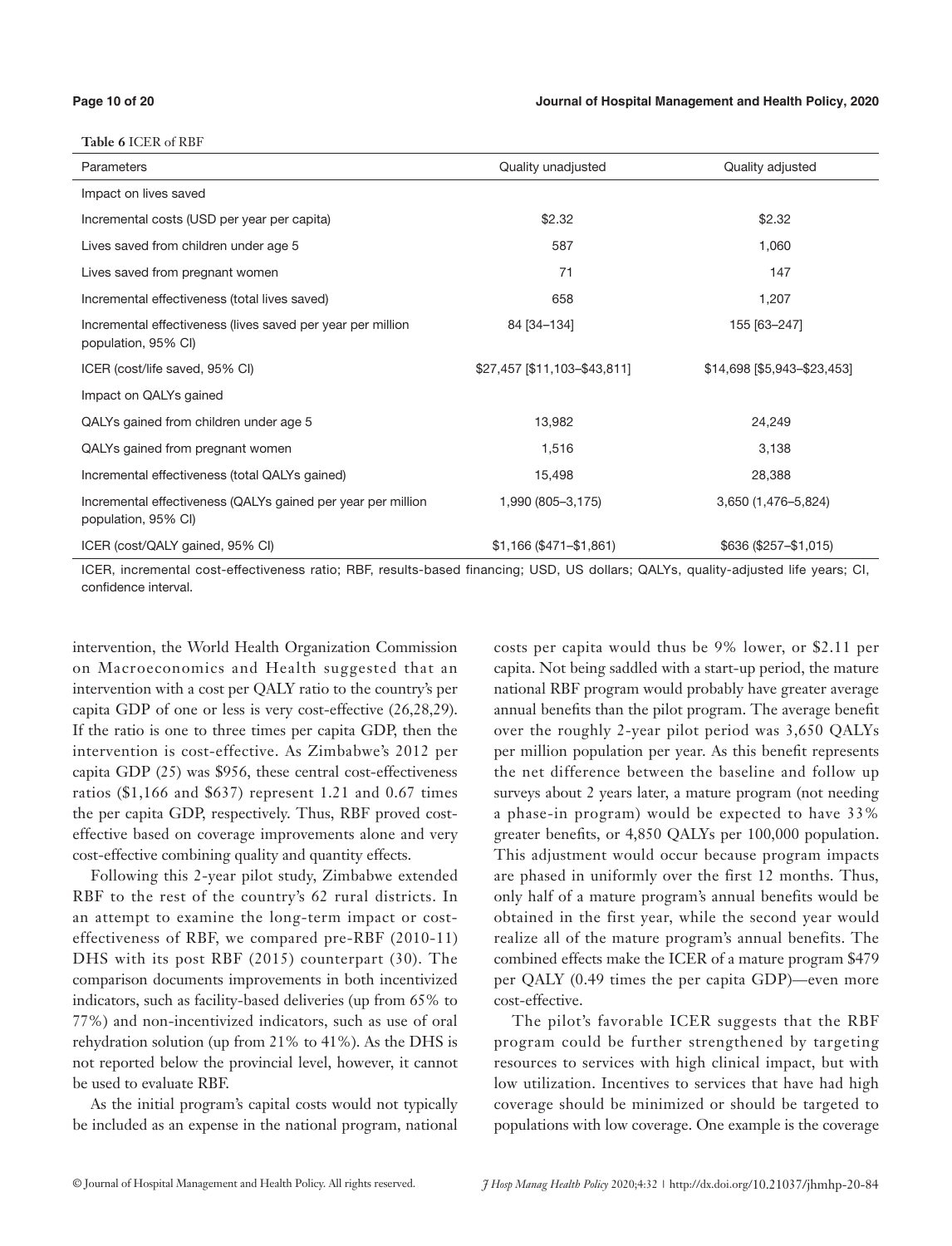**Table 6** ICER of RBF

| Parameters                                                                          | Quality unadjusted           | Quality adjusted            |
|-------------------------------------------------------------------------------------|------------------------------|-----------------------------|
| Impact on lives saved                                                               |                              |                             |
| Incremental costs (USD per year per capita)                                         | \$2.32                       | \$2.32                      |
| Lives saved from children under age 5                                               | 587                          | 1,060                       |
| Lives saved from pregnant women                                                     | 71                           | 147                         |
| Incremental effectiveness (total lives saved)                                       | 658                          | 1,207                       |
| Incremental effectiveness (lives saved per year per million<br>population, 95% CI)  | 84 [34-134]                  | 155 [63-247]                |
| ICER (cost/life saved, 95% CI)                                                      | \$27,457 [\$11,103-\$43,811] | \$14,698 [\$5,943-\$23,453] |
| Impact on QALYs gained                                                              |                              |                             |
| QALYs gained from children under age 5                                              | 13,982                       | 24,249                      |
| QALYs gained from pregnant women                                                    | 1,516                        | 3,138                       |
| Incremental effectiveness (total QALYs gained)                                      | 15,498                       | 28,388                      |
| Incremental effectiveness (QALYs gained per year per million<br>population, 95% CI) | 1,990 (805-3,175)            | 3,650 (1,476-5,824)         |
| ICER (cost/QALY gained, 95% CI)                                                     | $$1,166 ($471 - $1,861)$     | $$636 ($257 - $1,015)$      |

ICER, incremental cost-effectiveness ratio; RBF, results-based financing; USD, US dollars; QALYs, quality-adjusted life years; CI, confidence interval.

intervention, the World Health Organization Commission on Macroeconomics and Health suggested that an intervention with a cost per QALY ratio to the country's per capita GDP of one or less is very cost-effective (26,28,29). If the ratio is one to three times per capita GDP, then the intervention is cost-effective. As Zimbabwe's 2012 per capita GDP (25) was \$956, these central cost-effectiveness ratios (\$1,166 and \$637) represent 1.21 and 0.67 times the per capita GDP, respectively. Thus, RBF proved costeffective based on coverage improvements alone and very cost-effective combining quality and quantity effects.

Following this 2-year pilot study, Zimbabwe extended RBF to the rest of the country's 62 rural districts. In an attempt to examine the long-term impact or costeffectiveness of RBF, we compared pre-RBF (2010-11) DHS with its post RBF (2015) counterpart (30). The comparison documents improvements in both incentivized indicators, such as facility-based deliveries (up from 65% to 77%) and non-incentivized indicators, such as use of oral rehydration solution (up from 21% to 41%). As the DHS is not reported below the provincial level, however, it cannot be used to evaluate RBF.

As the initial program's capital costs would not typically be included as an expense in the national program, national costs per capita would thus be 9% lower, or \$2.11 per capita. Not being saddled with a start-up period, the mature national RBF program would probably have greater average annual benefits than the pilot program. The average benefit over the roughly 2-year pilot period was 3,650 QALYs per million population per year. As this benefit represents the net difference between the baseline and follow up surveys about 2 years later, a mature program (not needing a phase-in program) would be expected to have 33% greater benefits, or 4,850 QALYs per 100,000 population. This adjustment would occur because program impacts are phased in uniformly over the first 12 months. Thus, only half of a mature program's annual benefits would be obtained in the first year, while the second year would realize all of the mature program's annual benefits. The combined effects make the ICER of a mature program \$479 per QALY (0.49 times the per capita GDP)—even more cost-effective.

The pilot's favorable ICER suggests that the RBF program could be further strengthened by targeting resources to services with high clinical impact, but with low utilization. Incentives to services that have had high coverage should be minimized or should be targeted to populations with low coverage. One example is the coverage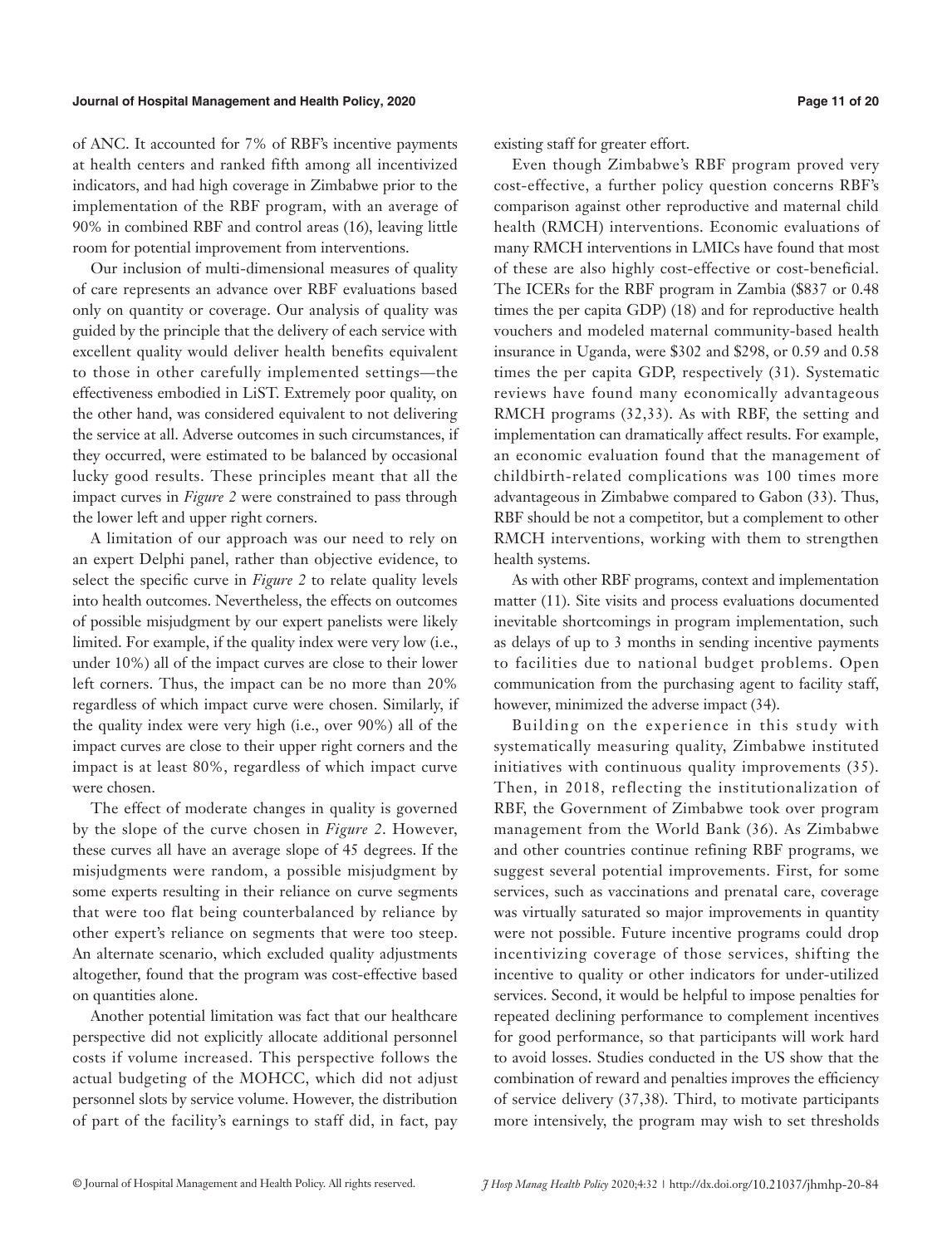#### **Journal of Hospital Management and Health Policy, 2020 Page 11 of 20**

of ANC. It accounted for 7% of RBF's incentive payments at health centers and ranked fifth among all incentivized indicators, and had high coverage in Zimbabwe prior to the implementation of the RBF program, with an average of 90% in combined RBF and control areas (16), leaving little room for potential improvement from interventions.

Our inclusion of multi-dimensional measures of quality of care represents an advance over RBF evaluations based only on quantity or coverage. Our analysis of quality was guided by the principle that the delivery of each service with excellent quality would deliver health benefits equivalent to those in other carefully implemented settings—the effectiveness embodied in LiST. Extremely poor quality, on the other hand, was considered equivalent to not delivering the service at all. Adverse outcomes in such circumstances, if they occurred, were estimated to be balanced by occasional lucky good results. These principles meant that all the impact curves in *Figure 2* were constrained to pass through the lower left and upper right corners.

A limitation of our approach was our need to rely on an expert Delphi panel, rather than objective evidence, to select the specific curve in *Figure 2* to relate quality levels into health outcomes. Nevertheless, the effects on outcomes of possible misjudgment by our expert panelists were likely limited. For example, if the quality index were very low (i.e., under 10%) all of the impact curves are close to their lower left corners. Thus, the impact can be no more than 20% regardless of which impact curve were chosen. Similarly, if the quality index were very high (i.e., over 90%) all of the impact curves are close to their upper right corners and the impact is at least 80%, regardless of which impact curve were chosen.

The effect of moderate changes in quality is governed by the slope of the curve chosen in *Figure 2*. However, these curves all have an average slope of 45 degrees. If the misjudgments were random, a possible misjudgment by some experts resulting in their reliance on curve segments that were too flat being counterbalanced by reliance by other expert's reliance on segments that were too steep. An alternate scenario, which excluded quality adjustments altogether, found that the program was cost-effective based on quantities alone.

Another potential limitation was fact that our healthcare perspective did not explicitly allocate additional personnel costs if volume increased. This perspective follows the actual budgeting of the MOHCC, which did not adjust personnel slots by service volume. However, the distribution of part of the facility's earnings to staff did, in fact, pay existing staff for greater effort.

Even though Zimbabwe's RBF program proved very cost-effective, a further policy question concerns RBF's comparison against other reproductive and maternal child health (RMCH) interventions. Economic evaluations of many RMCH interventions in LMICs have found that most of these are also highly cost-effective or cost-beneficial. The ICERs for the RBF program in Zambia (\$837 or 0.48 times the per capita GDP) (18) and for reproductive health vouchers and modeled maternal community-based health insurance in Uganda, were \$302 and \$298, or 0.59 and 0.58 times the per capita GDP, respectively (31). Systematic reviews have found many economically advantageous RMCH programs (32,33). As with RBF, the setting and implementation can dramatically affect results. For example, an economic evaluation found that the management of childbirth-related complications was 100 times more advantageous in Zimbabwe compared to Gabon (33). Thus, RBF should be not a competitor, but a complement to other RMCH interventions, working with them to strengthen health systems.

As with other RBF programs, context and implementation matter (11). Site visits and process evaluations documented inevitable shortcomings in program implementation, such as delays of up to 3 months in sending incentive payments to facilities due to national budget problems. Open communication from the purchasing agent to facility staff, however, minimized the adverse impact (34).

Building on the experience in this study with systematically measuring quality, Zimbabwe instituted initiatives with continuous quality improvements (35). Then, in 2018, reflecting the institutionalization of RBF, the Government of Zimbabwe took over program management from the World Bank (36). As Zimbabwe and other countries continue refining RBF programs, we suggest several potential improvements. First, for some services, such as vaccinations and prenatal care, coverage was virtually saturated so major improvements in quantity were not possible. Future incentive programs could drop incentivizing coverage of those services, shifting the incentive to quality or other indicators for under-utilized services. Second, it would be helpful to impose penalties for repeated declining performance to complement incentives for good performance, so that participants will work hard to avoid losses. Studies conducted in the US show that the combination of reward and penalties improves the efficiency of service delivery (37,38). Third, to motivate participants more intensively, the program may wish to set thresholds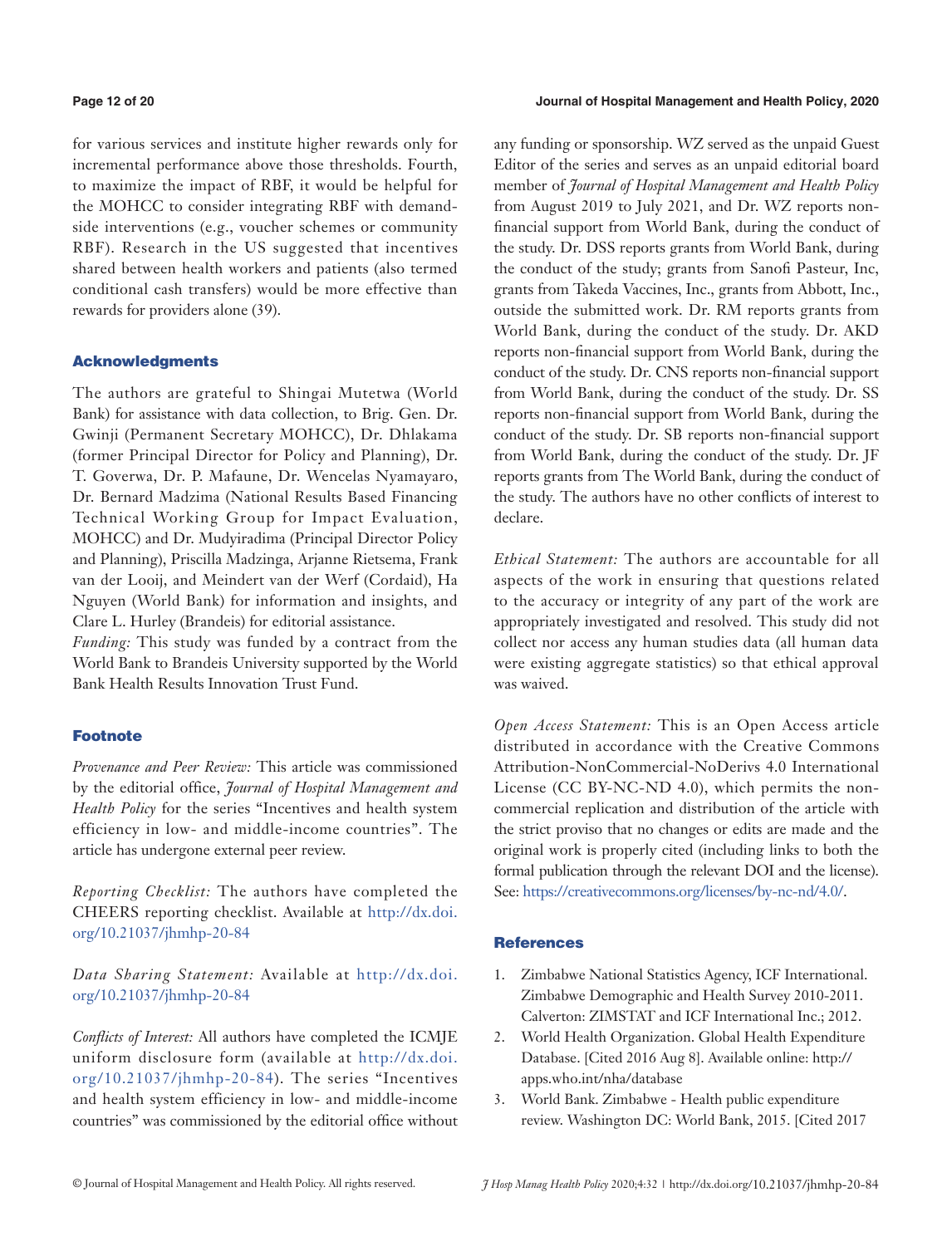#### **Page 12 of 20 Journal of Hospital Management and Health Policy, 2020**

for various services and institute higher rewards only for incremental performance above those thresholds. Fourth, to maximize the impact of RBF, it would be helpful for the MOHCC to consider integrating RBF with demandside interventions (e.g., voucher schemes or community RBF). Research in the US suggested that incentives shared between health workers and patients (also termed conditional cash transfers) would be more effective than rewards for providers alone (39).

## Acknowledgments

The authors are grateful to Shingai Mutetwa (World Bank) for assistance with data collection, to Brig. Gen. Dr. Gwinji (Permanent Secretary MOHCC), Dr. Dhlakama (former Principal Director for Policy and Planning), Dr. T. Goverwa, Dr. P. Mafaune, Dr. Wencelas Nyamayaro, Dr. Bernard Madzima (National Results Based Financing Technical Working Group for Impact Evaluation, MOHCC) and Dr. Mudyiradima (Principal Director Policy and Planning), Priscilla Madzinga, Arjanne Rietsema, Frank van der Looij, and Meindert van der Werf (Cordaid), Ha Nguyen (World Bank) for information and insights, and Clare L. Hurley (Brandeis) for editorial assistance.

*Funding:* This study was funded by a contract from the World Bank to Brandeis University supported by the World Bank Health Results Innovation Trust Fund.

#### Footnote

*Provenance and Peer Review:* This article was commissioned by the editorial office, *Journal of Hospital Management and Health Policy* for the series "Incentives and health system efficiency in low- and middle-income countries". The article has undergone external peer review.

*Reporting Checklist:* The authors have completed the CHEERS reporting checklist. Available at [http://dx.doi.](http://dx.doi.org/10.21037/jhmhp-20-84) [org/10.21037/jhmhp-20-84](http://dx.doi.org/10.21037/jhmhp-20-84)

*Data Sharing Statement:* Available at [http://dx.doi.](http://dx.doi.org/10.21037/jhmhp-20-84) [org/10.21037/jhmhp-20-84](http://dx.doi.org/10.21037/jhmhp-20-84)

*Conflicts of Interest:* All authors have completed the ICMJE uniform disclosure form (available at [http://dx.doi.](http://dx.doi.org/10.21037/jhmhp-20-84) [org/10.21037/jhmhp-20-84\)](http://dx.doi.org/10.21037/jhmhp-20-84). The series "Incentives and health system efficiency in low- and middle-income countries" was commissioned by the editorial office without any funding or sponsorship. WZ served as the unpaid Guest Editor of the series and serves as an unpaid editorial board member of *Journal of Hospital Management and Health Policy* from August 2019 to July 2021, and Dr. WZ reports nonfinancial support from World Bank, during the conduct of the study. Dr. DSS reports grants from World Bank, during the conduct of the study; grants from Sanofi Pasteur, Inc, grants from Takeda Vaccines, Inc., grants from Abbott, Inc., outside the submitted work. Dr. RM reports grants from World Bank, during the conduct of the study. Dr. AKD reports non-financial support from World Bank, during the conduct of the study. Dr. CNS reports non-financial support from World Bank, during the conduct of the study. Dr. SS reports non-financial support from World Bank, during the conduct of the study. Dr. SB reports non-financial support from World Bank, during the conduct of the study. Dr. JF reports grants from The World Bank, during the conduct of the study. The authors have no other conflicts of interest to declare.

*Ethical Statement:* The authors are accountable for all aspects of the work in ensuring that questions related to the accuracy or integrity of any part of the work are appropriately investigated and resolved. This study did not collect nor access any human studies data (all human data were existing aggregate statistics) so that ethical approval was waived.

*Open Access Statement:* This is an Open Access article distributed in accordance with the Creative Commons Attribution-NonCommercial-NoDerivs 4.0 International License (CC BY-NC-ND 4.0), which permits the noncommercial replication and distribution of the article with the strict proviso that no changes or edits are made and the original work is properly cited (including links to both the formal publication through the relevant DOI and the license). See: [https://creativecommons.org/licenses/by-nc-nd/4.0/.](https://creativecommons.org/licenses/by-nc-nd/4.0/)

#### **References**

- 1. Zimbabwe National Statistics Agency, ICF International. Zimbabwe Demographic and Health Survey 2010-2011. Calverton: ZIMSTAT and ICF International Inc.; 2012.
- 2. World Health Organization. Global Health Expenditure Database. [Cited 2016 Aug 8]. Available online: http:// apps.who.int/nha/database
- 3. World Bank. Zimbabwe Health public expenditure review. Washington DC: World Bank, 2015. [Cited 2017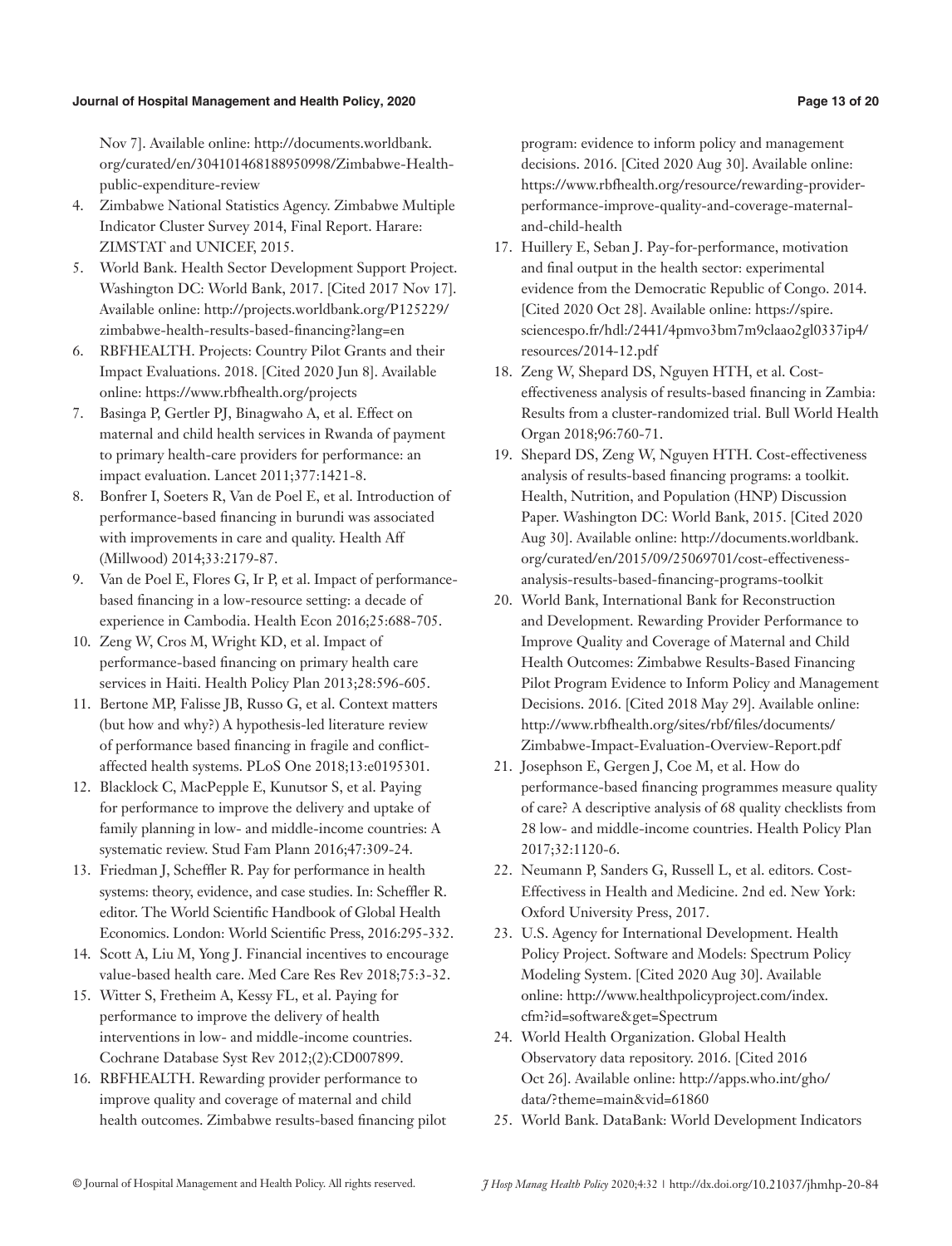#### **Journal of Hospital Management and Health Policy, 2020 Page 13 of 20**

Nov 7]. Available online: http://documents.worldbank. org/curated/en/304101468188950998/Zimbabwe-Healthpublic-expenditure-review

- 4. Zimbabwe National Statistics Agency. Zimbabwe Multiple Indicator Cluster Survey 2014, Final Report. Harare: ZIMSTAT and UNICEF, 2015.
- 5. World Bank. Health Sector Development Support Project. Washington DC: World Bank, 2017. [Cited 2017 Nov 17]. Available online: http://projects.worldbank.org/P125229/ zimbabwe-health-results-based-financing?lang=en
- 6. RBFHEALTH. Projects: Country Pilot Grants and their Impact Evaluations. 2018. [Cited 2020 Jun 8]. Available online: https://www.rbfhealth.org/projects
- 7. Basinga P, Gertler PJ, Binagwaho A, et al. Effect on maternal and child health services in Rwanda of payment to primary health-care providers for performance: an impact evaluation. Lancet 2011;377:1421-8.
- 8. Bonfrer I, Soeters R, Van de Poel E, et al. Introduction of performance-based financing in burundi was associated with improvements in care and quality. Health Aff (Millwood) 2014;33:2179-87.
- 9. Van de Poel E, Flores G, Ir P, et al. Impact of performancebased financing in a low-resource setting: a decade of experience in Cambodia. Health Econ 2016;25:688-705.
- 10. Zeng W, Cros M, Wright KD, et al. Impact of performance-based financing on primary health care services in Haiti. Health Policy Plan 2013;28:596-605.
- 11. Bertone MP, Falisse JB, Russo G, et al. Context matters (but how and why?) A hypothesis-led literature review of performance based financing in fragile and conflictaffected health systems. PLoS One 2018;13:e0195301.
- 12. Blacklock C, MacPepple E, Kunutsor S, et al. Paying for performance to improve the delivery and uptake of family planning in low- and middle-income countries: A systematic review. Stud Fam Plann 2016;47:309-24.
- 13. Friedman J, Scheffler R. Pay for performance in health systems: theory, evidence, and case studies. In: Scheffler R. editor. The World Scientific Handbook of Global Health Economics. London: World Scientific Press, 2016:295-332.
- 14. Scott A, Liu M, Yong J. Financial incentives to encourage value-based health care. Med Care Res Rev 2018;75:3-32.
- 15. Witter S, Fretheim A, Kessy FL, et al. Paying for performance to improve the delivery of health interventions in low- and middle-income countries. Cochrane Database Syst Rev 2012;(2):CD007899.
- 16. RBFHEALTH. Rewarding provider performance to improve quality and coverage of maternal and child health outcomes. Zimbabwe results-based financing pilot

program: evidence to inform policy and management decisions. 2016. [Cited 2020 Aug 30]. Available online: https://www.rbfhealth.org/resource/rewarding-providerperformance-improve-quality-and-coverage-maternaland-child-health

- 17. Huillery E, Seban J. Pay-for-performance, motivation and final output in the health sector: experimental evidence from the Democratic Republic of Congo. 2014. [Cited 2020 Oct 28]. Available online: https://spire. sciencespo.fr/hdl:/2441/4pmvo3bm7m9claao2gl0337ip4/ resources/2014-12.pdf
- 18. Zeng W, Shepard DS, Nguyen HTH, et al. Costeffectiveness analysis of results-based financing in Zambia: Results from a cluster-randomized trial. Bull World Health Organ 2018;96:760-71.
- 19. Shepard DS, Zeng W, Nguyen HTH. Cost-effectiveness analysis of results-based financing programs: a toolkit. Health, Nutrition, and Population (HNP) Discussion Paper. Washington DC: World Bank, 2015. [Cited 2020 Aug 30]. Available online: http://documents.worldbank. org/curated/en/2015/09/25069701/cost-effectivenessanalysis-results-based-financing-programs-toolkit
- 20. World Bank, International Bank for Reconstruction and Development. Rewarding Provider Performance to Improve Quality and Coverage of Maternal and Child Health Outcomes: Zimbabwe Results-Based Financing Pilot Program Evidence to Inform Policy and Management Decisions. 2016. [Cited 2018 May 29]. Available online: http://www.rbfhealth.org/sites/rbf/files/documents/ Zimbabwe-Impact-Evaluation-Overview-Report.pdf
- 21. Josephson E, Gergen J, Coe M, et al. How do performance-based financing programmes measure quality of care? A descriptive analysis of 68 quality checklists from 28 low- and middle-income countries. Health Policy Plan 2017;32:1120-6.
- 22. Neumann P, Sanders G, Russell L, et al. editors. Cost-Effectivess in Health and Medicine. 2nd ed. New York: Oxford University Press, 2017.
- 23. U.S. Agency for International Development. Health Policy Project. Software and Models: Spectrum Policy Modeling System. [Cited 2020 Aug 30]. Available online: http://www.healthpolicyproject.com/index. cfm?id=software&get=Spectrum
- 24. World Health Organization. Global Health Observatory data repository. 2016. [Cited 2016 Oct 26]. Available online: http://apps.who.int/gho/ data/?theme=main&vid=61860
- 25. World Bank. DataBank: World Development Indicators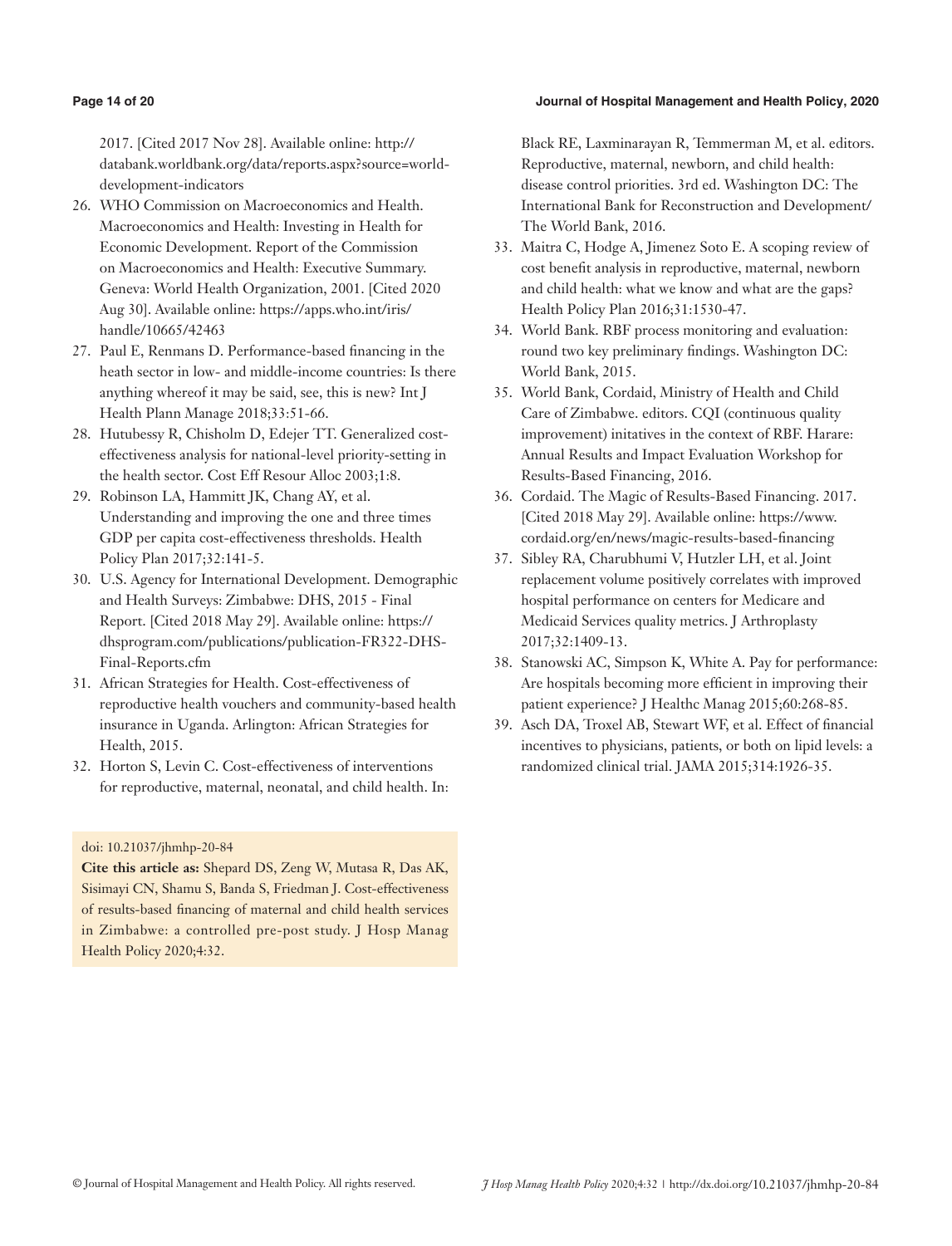#### **Page 14 of 20 Journal of Hospital Management and Health Policy, 2020**

2017. [Cited 2017 Nov 28]. Available online: http:// databank.worldbank.org/data/reports.aspx?source=worlddevelopment-indicators

- 26. WHO Commission on Macroeconomics and Health. Macroeconomics and Health: Investing in Health for Economic Development. Report of the Commission on Macroeconomics and Health: Executive Summary. Geneva: World Health Organization, 2001. [Cited 2020 Aug 30]. Available online: https://apps.who.int/iris/ handle/10665/42463
- 27. Paul E, Renmans D. Performance-based financing in the heath sector in low- and middle-income countries: Is there anything whereof it may be said, see, this is new? Int J Health Plann Manage 2018;33:51-66.
- 28. Hutubessy R, Chisholm D, Edejer TT. Generalized costeffectiveness analysis for national-level priority-setting in the health sector. Cost Eff Resour Alloc 2003;1:8.
- 29. Robinson LA, Hammitt JK, Chang AY, et al. Understanding and improving the one and three times GDP per capita cost-effectiveness thresholds. Health Policy Plan 2017;32:141-5.
- 30. U.S. Agency for International Development. Demographic and Health Surveys: Zimbabwe: DHS, 2015 - Final Report. [Cited 2018 May 29]. Available online: https:// dhsprogram.com/publications/publication-FR322-DHS-Final-Reports.cfm
- 31. African Strategies for Health. Cost-effectiveness of reproductive health vouchers and community-based health insurance in Uganda. Arlington: African Strategies for Health, 2015.
- 32. Horton S, Levin C. Cost-effectiveness of interventions for reproductive, maternal, neonatal, and child health. In:

doi: 10.21037/jhmhp-20-84

**Cite this article as:** Shepard DS, Zeng W, Mutasa R, Das AK, Sisimayi CN, Shamu S, Banda S, Friedman J. Cost-effectiveness of results-based financing of maternal and child health services in Zimbabwe: a controlled pre-post study. J Hosp Manag Health Policy 2020;4:32.

Black RE, Laxminarayan R, Temmerman M, et al. editors. Reproductive, maternal, newborn, and child health: disease control priorities. 3rd ed. Washington DC: The International Bank for Reconstruction and Development/ The World Bank, 2016.

- 33. Maitra C, Hodge A, Jimenez Soto E. A scoping review of cost benefit analysis in reproductive, maternal, newborn and child health: what we know and what are the gaps? Health Policy Plan 2016;31:1530-47.
- 34. World Bank. RBF process monitoring and evaluation: round two key preliminary findings. Washington DC: World Bank, 2015.
- 35. World Bank, Cordaid, Ministry of Health and Child Care of Zimbabwe. editors. CQI (continuous quality improvement) initatives in the context of RBF. Harare: Annual Results and Impact Evaluation Workshop for Results-Based Financing, 2016.
- 36. Cordaid. The Magic of Results-Based Financing. 2017. [Cited 2018 May 29]. Available online: https://www. cordaid.org/en/news/magic-results-based-financing
- 37. Sibley RA, Charubhumi V, Hutzler LH, et al. Joint replacement volume positively correlates with improved hospital performance on centers for Medicare and Medicaid Services quality metrics. J Arthroplasty 2017;32:1409-13.
- 38. Stanowski AC, Simpson K, White A. Pay for performance: Are hospitals becoming more efficient in improving their patient experience? J Healthc Manag 2015;60:268-85.
- 39. Asch DA, Troxel AB, Stewart WF, et al. Effect of financial incentives to physicians, patients, or both on lipid levels: a randomized clinical trial. JAMA 2015;314:1926-35.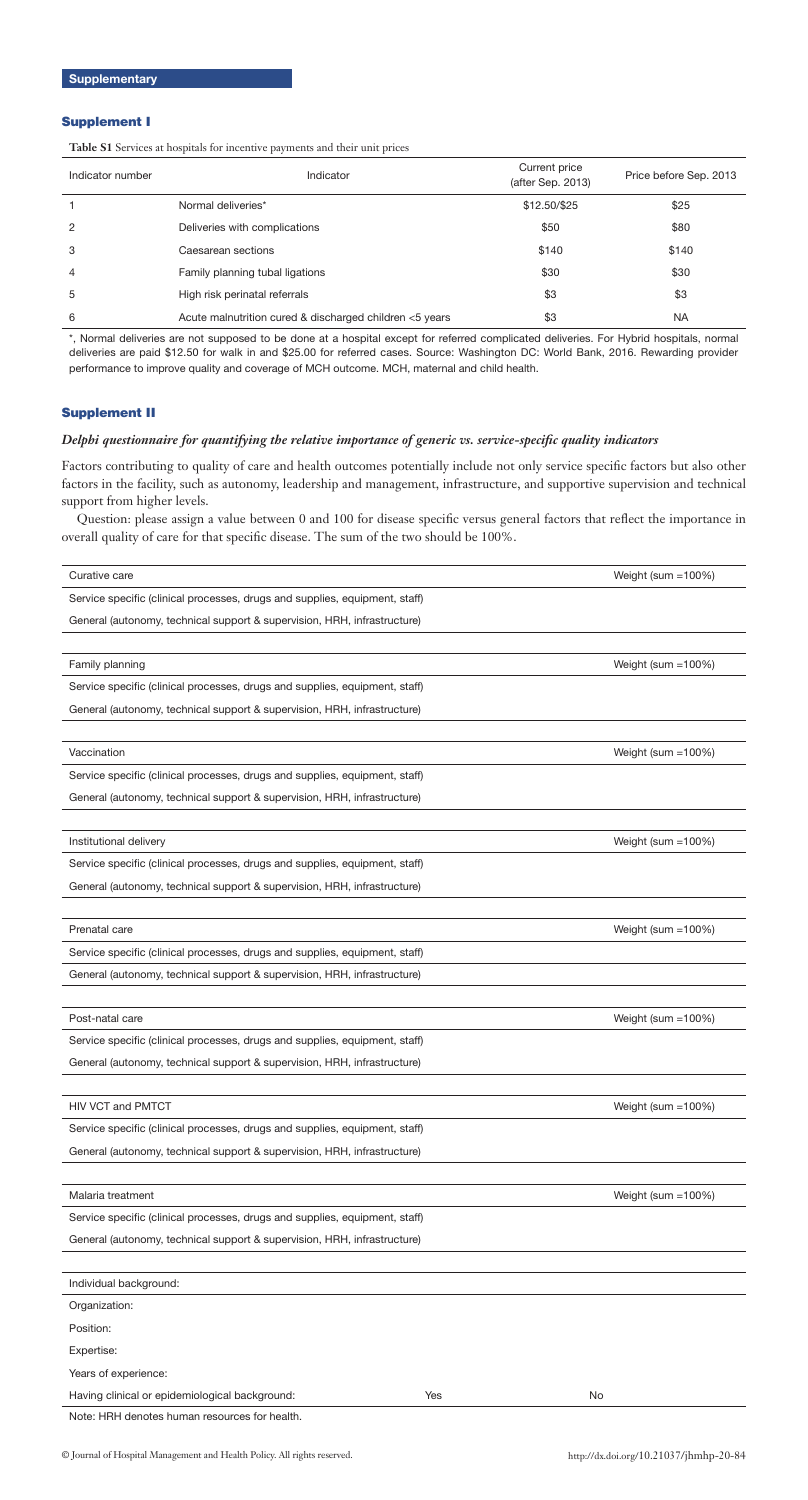# Supplement I

**Table S1** Services at hospitals for incentive payments and their unit prices

| Indicator number | Indicator                                               | Current price<br>(after Sep. 2013) | Price before Sep. 2013 |
|------------------|---------------------------------------------------------|------------------------------------|------------------------|
|                  | Normal deliveries*                                      | \$12.50/\$25                       | \$25                   |
| $\overline{2}$   | Deliveries with complications                           | \$50                               | \$80                   |
| 3                | Caesarean sections                                      | \$140                              | \$140                  |
| $\overline{4}$   | Family planning tubal ligations                         | \$30                               | \$30                   |
| 5                | High risk perinatal referrals                           | \$3                                | \$3                    |
| 6                | Acute malnutrition cured & discharged children <5 years | \$3                                | <b>NA</b>              |

\*, Normal deliveries are not supposed to be done at a hospital except for referred complicated deliveries. For Hybrid hospitals, normal deliveries are paid \$12.50 for walk in and \$25.00 for referred cases. Source: Washington DC: World Bank, 2016. Rewarding provider performance to improve quality and coverage of MCH outcome. MCH, maternal and child health.

# Supplement II

# *Delphi questionnaire for quantifying the relative importance of generic vs. service-specific quality indicators*

Factors contributing to quality of care and health outcomes potentially include not only service specific factors but also other factors in the facility, such as autonomy, leadership and management, infrastructure, and supportive supervision and technical support from higher levels.

Question: please assign a value between 0 and 100 for disease specific versus general factors that reflect the importance in overall quality of care for that specific disease. The sum of the two should be 100%.

| Curative care                                                               |     | Weight (sum $=100\%$ ) |
|-----------------------------------------------------------------------------|-----|------------------------|
| Service specific (clinical processes, drugs and supplies, equipment, staff) |     |                        |
| General (autonomy, technical support & supervision, HRH, infrastructure)    |     |                        |
|                                                                             |     |                        |
| Family planning                                                             |     | Weight (sum = 100%)    |
| Service specific (clinical processes, drugs and supplies, equipment, staff) |     |                        |
| General (autonomy, technical support & supervision, HRH, infrastructure)    |     |                        |
|                                                                             |     |                        |
| Vaccination                                                                 |     | Weight (sum $=100\%$ ) |
| Service specific (clinical processes, drugs and supplies, equipment, staff) |     |                        |
| General (autonomy, technical support & supervision, HRH, infrastructure)    |     |                        |
|                                                                             |     |                        |
| Institutional delivery                                                      |     | Weight (sum =100%)     |
| Service specific (clinical processes, drugs and supplies, equipment, staff) |     |                        |
| General (autonomy, technical support & supervision, HRH, infrastructure)    |     |                        |
|                                                                             |     |                        |
| Prenatal care                                                               |     | Weight (sum =100%)     |
| Service specific (clinical processes, drugs and supplies, equipment, staff) |     |                        |
| General (autonomy, technical support & supervision, HRH, infrastructure)    |     |                        |
|                                                                             |     |                        |
| Post-natal care                                                             |     | Weight (sum =100%)     |
| Service specific (clinical processes, drugs and supplies, equipment, staff) |     |                        |
| General (autonomy, technical support & supervision, HRH, infrastructure)    |     |                        |
|                                                                             |     |                        |
| <b>HIV VCT and PMTCT</b>                                                    |     | Weight (sum = 100%)    |
| Service specific (clinical processes, drugs and supplies, equipment, staff) |     |                        |
| General (autonomy, technical support & supervision, HRH, infrastructure)    |     |                        |
|                                                                             |     |                        |
| Malaria treatment                                                           |     | Weight (sum $=100\%$ ) |
| Service specific (clinical processes, drugs and supplies, equipment, staff) |     |                        |
| General (autonomy, technical support & supervision, HRH, infrastructure)    |     |                        |
|                                                                             |     |                        |
| Individual background:                                                      |     |                        |
| Organization:                                                               |     |                        |
| Position:                                                                   |     |                        |
| Expertise:                                                                  |     |                        |
| Years of experience:                                                        |     |                        |
| Having clinical or epidemiological background:                              | Yes | No                     |
| Note: HRH denotes human resources for health.                               |     |                        |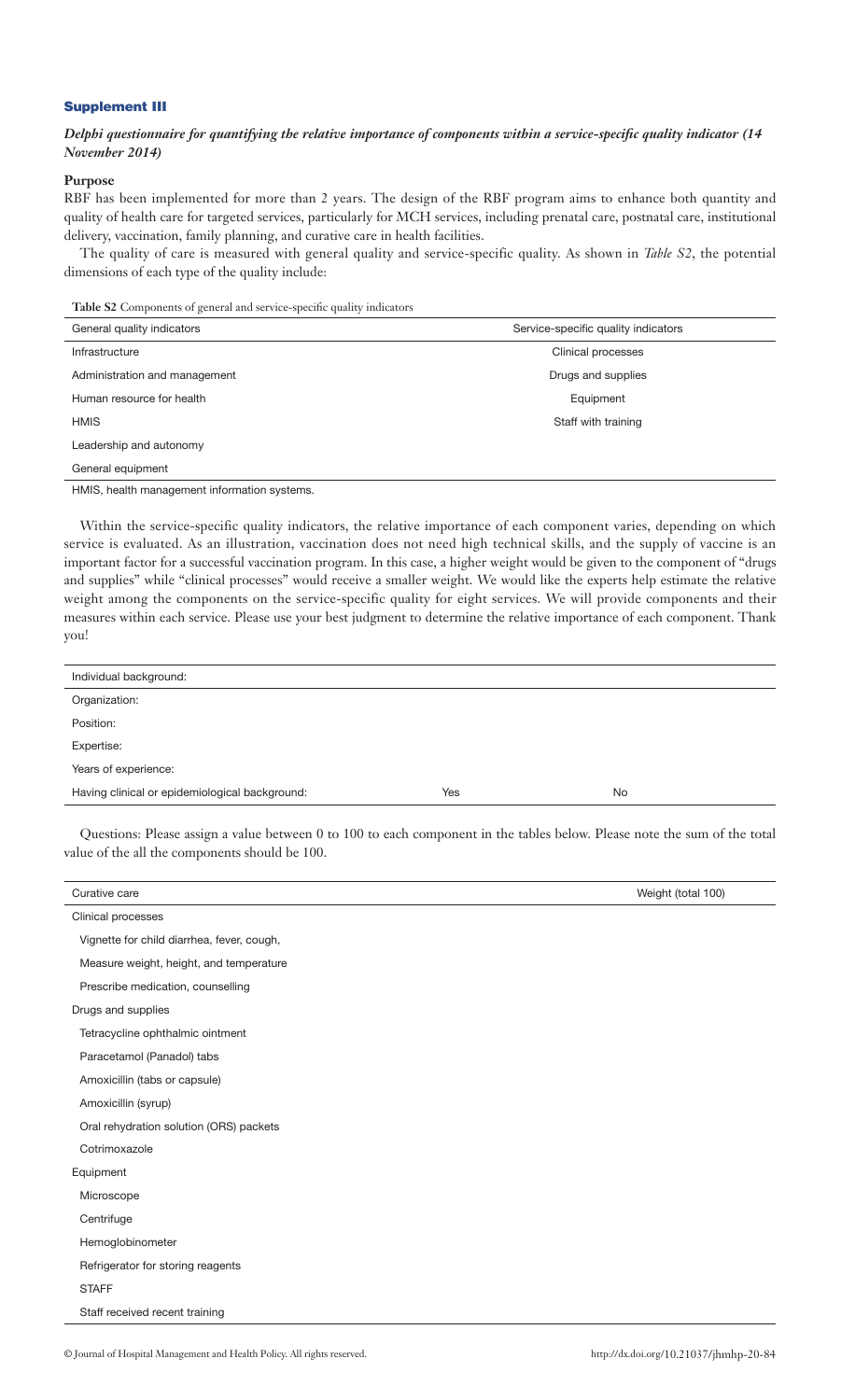# Supplement III

# *Delphi questionnaire for quantifying the relative importance of components within a service-specific quality indicator (14 November 2014)*

# **Purpose**

RBF has been implemented for more than 2 years. The design of the RBF program aims to enhance both quantity and quality of health care for targeted services, particularly for MCH services, including prenatal care, postnatal care, institutional delivery, vaccination, family planning, and curative care in health facilities.

The quality of care is measured with general quality and service-specific quality. As shown in *Table S2*, the potential dimensions of each type of the quality include:

**Table S2** Components of general and service-specific quality indicators

| General quality indicators    | Service-specific quality indicators |
|-------------------------------|-------------------------------------|
| Infrastructure                | Clinical processes                  |
| Administration and management | Drugs and supplies                  |
| Human resource for health     | Equipment                           |
| <b>HMIS</b>                   | Staff with training                 |
| Leadership and autonomy       |                                     |
| General equipment             |                                     |

HMIS, health management information systems.

Within the service-specific quality indicators, the relative importance of each component varies, depending on which service is evaluated. As an illustration, vaccination does not need high technical skills, and the supply of vaccine is an important factor for a successful vaccination program. In this case, a higher weight would be given to the component of "drugs and supplies" while "clinical processes" would receive a smaller weight. We would like the experts help estimate the relative weight among the components on the service-specific quality for eight services. We will provide components and their measures within each service. Please use your best judgment to determine the relative importance of each component. Thank you!

| Individual background:                         |     |           |
|------------------------------------------------|-----|-----------|
| Organization:                                  |     |           |
| Position:                                      |     |           |
| Expertise:                                     |     |           |
| Years of experience:                           |     |           |
| Having clinical or epidemiological background: | Yes | <b>No</b> |

Questions: Please assign a value between 0 to 100 to each component in the tables below. Please note the sum of the total value of the all the components should be 100.

| Curative care                              | Weight (total 100) |
|--------------------------------------------|--------------------|
| Clinical processes                         |                    |
| Vignette for child diarrhea, fever, cough, |                    |
| Measure weight, height, and temperature    |                    |
| Prescribe medication, counselling          |                    |
| Drugs and supplies                         |                    |
| Tetracycline ophthalmic ointment           |                    |
| Paracetamol (Panadol) tabs                 |                    |
| Amoxicillin (tabs or capsule)              |                    |
| Amoxicillin (syrup)                        |                    |
| Oral rehydration solution (ORS) packets    |                    |
| Cotrimoxazole                              |                    |
| Equipment                                  |                    |
| Microscope                                 |                    |
| Centrifuge                                 |                    |
| Hemoglobinometer                           |                    |
| Refrigerator for storing reagents          |                    |
| <b>STAFF</b>                               |                    |
| Staff received recent training             |                    |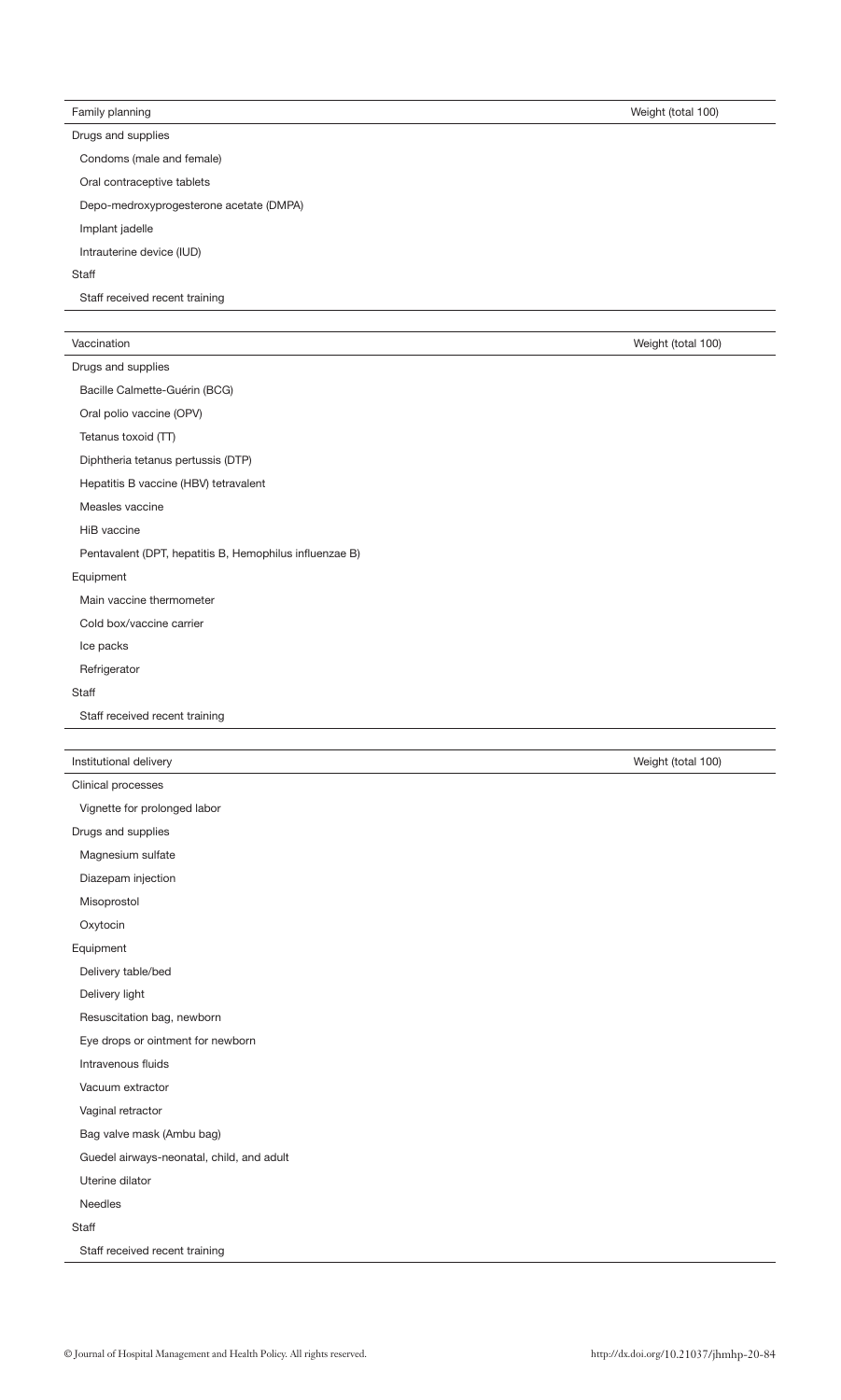# Family planning Weight (total 100)

Drugs and supplies

Condoms (male and female)

Oral contraceptive tablets

Depo-medroxyprogesterone acetate (DMPA)

Implant jadelle

Intrauterine device (IUD)

#### **Staff**

Staff received recent training

# Vaccination Weight (total 100)

|  | Drugs and supplies |  |
|--|--------------------|--|
|  |                    |  |

Bacille Calmette-Guérin (BCG)

Oral polio vaccine (OPV)

Tetanus toxoid (TT)

Diphtheria tetanus pertussis (DTP)

Hepatitis B vaccine (HBV) tetravalent

Measles vaccine

HiB vaccine

Pentavalent (DPT, hepatitis B, Hemophilus influenzae B)

# Equipment

Main vaccine thermometer

Cold box/vaccine carrier

Ice packs

Refrigerator

**Staff** 

Staff received recent training

| Institutional delivery | Weight (total 100) |
|------------------------|--------------------|
| Clinical processes     |                    |

| Vignette for prolonged labor              |  |
|-------------------------------------------|--|
| Drugs and supplies                        |  |
| Magnesium sulfate                         |  |
| Diazepam injection                        |  |
| Misoprostol                               |  |
| Oxytocin                                  |  |
| Equipment                                 |  |
| Delivery table/bed                        |  |
| Delivery light                            |  |
| Resuscitation bag, newborn                |  |
| Eye drops or ointment for newborn         |  |
| Intravenous fluids                        |  |
| Vacuum extractor                          |  |
| Vaginal retractor                         |  |
| Bag valve mask (Ambu bag)                 |  |
| Guedel airways-neonatal, child, and adult |  |
| Uterine dilator                           |  |
| Needles                                   |  |
| Staff                                     |  |
| Staff received recent training            |  |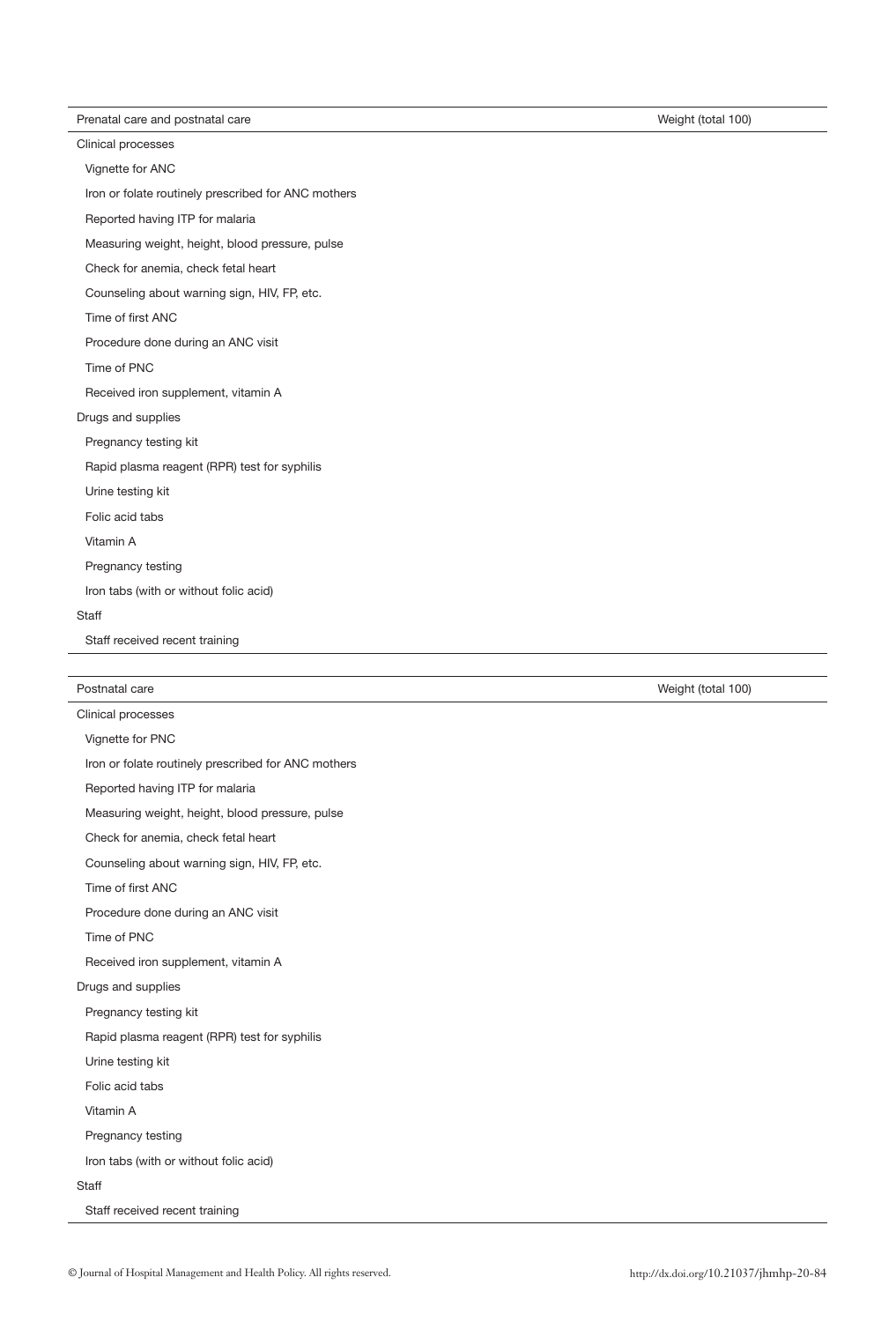Prenatal care and postnatal care Weight (total 100) Neight (total 100)

Clinical processes

Vignette for ANC

Iron or folate routinely prescribed for ANC mothers

Reported having ITP for malaria

Measuring weight, height, blood pressure, pulse

Check for anemia, check fetal heart

Counseling about warning sign, HIV, FP, etc.

Time of first ANC

Procedure done during an ANC visit

Time of PNC

Received iron supplement, vitamin A

Drugs and supplies

Pregnancy testing kit

Rapid plasma reagent (RPR) test for syphilis

Urine testing kit

Folic acid tabs

Vitamin A

Pregnancy testing

Iron tabs (with or without folic acid)

**Staff** 

Staff received recent training

| Postnatal care     |  |
|--------------------|--|
| Clinical processes |  |

Vignette for PNC Iron or folate routinely prescribed for ANC mothers Reported having ITP for malaria Measuring weight, height, blood pressure, pulse Check for anemia, check fetal heart Counseling about warning sign, HIV, FP, etc. Time of first ANC Procedure done during an ANC visit Time of PNC Received iron supplement, vitamin A Drugs and supplies Pregnancy testing kit Rapid plasma reagent (RPR) test for syphilis Urine testing kit Folic acid tabs Vitamin A Pregnancy testing Iron tabs (with or without folic acid) **Staff** Staff received recent training

Weight (total 100)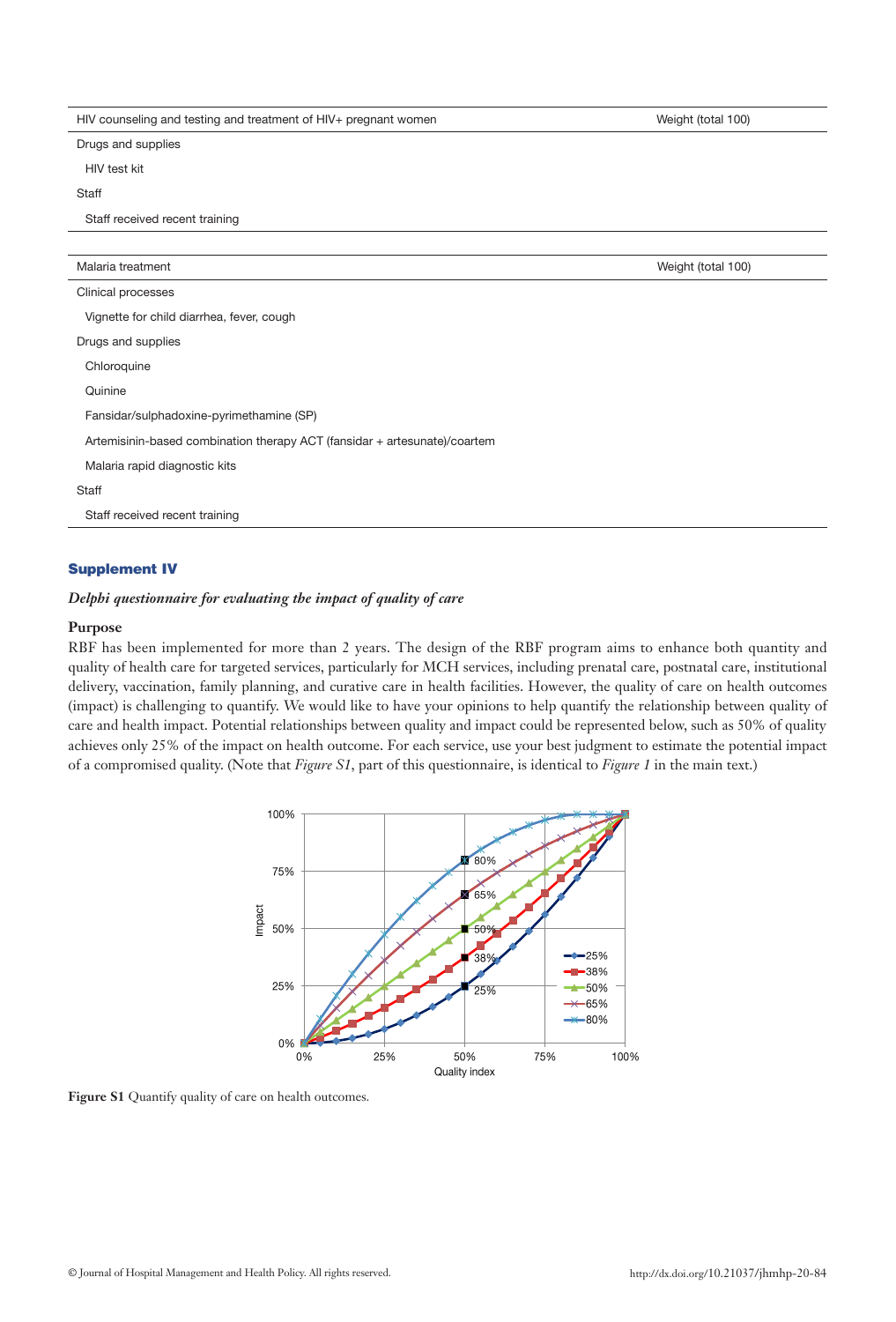| HIV counseling and testing and treatment of HIV+ pregnant women           | Weight (total 100) |
|---------------------------------------------------------------------------|--------------------|
| Drugs and supplies                                                        |                    |
| HIV test kit                                                              |                    |
| Staff                                                                     |                    |
| Staff received recent training                                            |                    |
|                                                                           |                    |
| Malaria treatment                                                         | Weight (total 100) |
| Clinical processes                                                        |                    |
| Vignette for child diarrhea, fever, cough                                 |                    |
| Drugs and supplies                                                        |                    |
| Chloroquine                                                               |                    |
| Quinine                                                                   |                    |
| Fansidar/sulphadoxine-pyrimethamine (SP)                                  |                    |
| Artemisinin-based combination therapy ACT (fansidar + artesunate)/coartem |                    |
| Malaria rapid diagnostic kits                                             |                    |
| Staff                                                                     |                    |
| Staff received recent training                                            |                    |
|                                                                           |                    |

# Supplement IV

# *Delphi questionnaire for evaluating the impact of quality of care*

# **Purpose**

RBF has been implemented for more than 2 years. The design of the RBF program aims to enhance both quantity and quality of health care for targeted services, particularly for MCH services, including prenatal care, postnatal care, institutional delivery, vaccination, family planning, and curative care in health facilities. However, the quality of care on health outcomes (impact) is challenging to quantify. We would like to have your opinions to help quantify the relationship between quality of care and health impact. Potential relationships between quality and impact could be represented below, such as 50% of quality achieves only 25% of the impact on health outcome. For each service, use your best judgment to estimate the potential impact of a compromised quality. (Note that *Figure S1*, part of this questionnaire, is identical to *Figure 1* in the main text.)



Figure S1 Quantify quality of care on health outcomes.